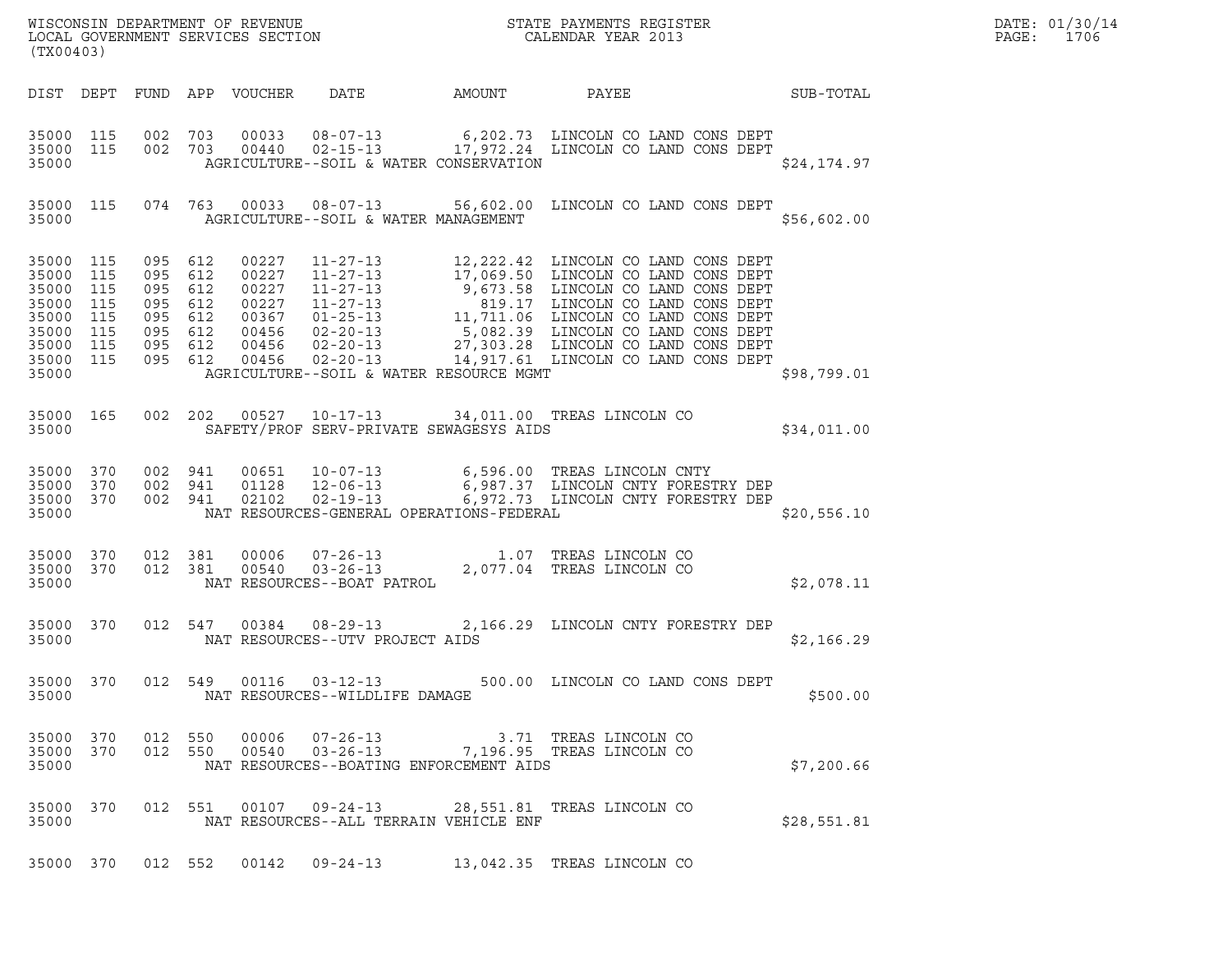| (TX00403)                                                                             |                                        |                    |                            |                                                          | R                                        |                                                                                                                                                                              |             |  |  |
|---------------------------------------------------------------------------------------|----------------------------------------|--------------------|----------------------------|----------------------------------------------------------|------------------------------------------|------------------------------------------------------------------------------------------------------------------------------------------------------------------------------|-------------|--|--|
|                                                                                       |                                        |                    | DIST DEPT FUND APP VOUCHER |                                                          | DATE AMOUNT                              | PAYEE SUB-TOTAL                                                                                                                                                              |             |  |  |
| 35000 115<br>35000 115<br>35000                                                       |                                        |                    |                            |                                                          | AGRICULTURE--SOIL & WATER CONSERVATION   | 002 703 00033 08-07-13 6,202.73 LINCOLN CO LAND CONS DEPT 6,202.73 LINCOLN CO LAND CONS DEPT                                                                                 | \$24,174.97 |  |  |
| 35000                                                                                 | 35000 115                              |                    |                            |                                                          | AGRICULTURE--SOIL & WATER MANAGEMENT     | 074 763 00033 08-07-13 56,602.00 LINCOLN CO LAND CONS DEPT                                                                                                                   | \$56,602.00 |  |  |
| 35000 115<br>35000<br>35000<br>35000<br>35000<br>35000<br>35000<br>35000 115<br>35000 | 115<br>115<br>115<br>115<br>115<br>115 |                    |                            |                                                          | AGRICULTURE--SOIL & WATER RESOURCE MGMT  |                                                                                                                                                                              | \$98,799.01 |  |  |
| 35000 165<br>35000                                                                    |                                        |                    |                            |                                                          |                                          | 002  202  00527  10-17-13  34,011.00 TREAS LINCOLN CO<br>SAFETY/PROF SERV-PRIVATE SEWAGESYS AIDS                                                                             | \$34,011.00 |  |  |
| 35000 370<br>35000 370<br>35000 370<br>35000                                          |                                        |                    | 002 941 02102              |                                                          | NAT RESOURCES-GENERAL OPERATIONS-FEDERAL | 002 941 00651 10-07-13 6,596.00 TREAS LINCOLN CNTY<br>002 941 01128 12-06-13 6,987.37 LINCOLN CNTY FORESTRY DEP<br>002 941 02102 02-19-13 6,972.73 LINCOLN CNTY FORESTRY DEP | \$20,556.10 |  |  |
| 35000 370<br>35000 370<br>35000                                                       |                                        | 012 381<br>012 381 | 00006<br>00540             | NAT RESOURCES--BOAT PATROL                               |                                          | 07-26-13 1.07 TREAS LINCOLN CO<br>03-26-13 2,077.04 TREAS LINCOLN CO                                                                                                         | \$2,078.11  |  |  |
| 35000 370<br>35000                                                                    |                                        |                    |                            | NAT RESOURCES--UTV PROJECT AIDS                          |                                          | 012 547 00384 08-29-13 2,166.29 LINCOLN CNTY FORESTRY DEP                                                                                                                    | \$2,166.29  |  |  |
| 35000<br>35000                                                                        | 370                                    |                    |                            | 012 549 00116 03-12-13<br>NAT RESOURCES--WILDLIFE DAMAGE |                                          | 500.00 LINCOLN CO LAND CONS DEPT                                                                                                                                             | \$500.00    |  |  |
| 35000 370<br>35000<br>35000                                                           | 370                                    | 012 550<br>012 550 | 00006<br>00540             | 07-26-13<br>$03 - 26 - 13$                               | NAT RESOURCES--BOATING ENFORCEMENT AIDS  | 3.71 TREAS LINCOLN CO<br>7,196.95 TREAS LINCOLN CO                                                                                                                           | \$7,200.66  |  |  |
| 35000<br>35000                                                                        | 370                                    | 012 551            |                            | 00107 09-24-13                                           | NAT RESOURCES--ALL TERRAIN VEHICLE ENF   | 28,551.81 TREAS LINCOLN CO                                                                                                                                                   | \$28,551.81 |  |  |
| 35000 370                                                                             |                                        | 012 552            | 00142                      | $09 - 24 - 13$                                           |                                          | 13,042.35 TREAS LINCOLN CO                                                                                                                                                   |             |  |  |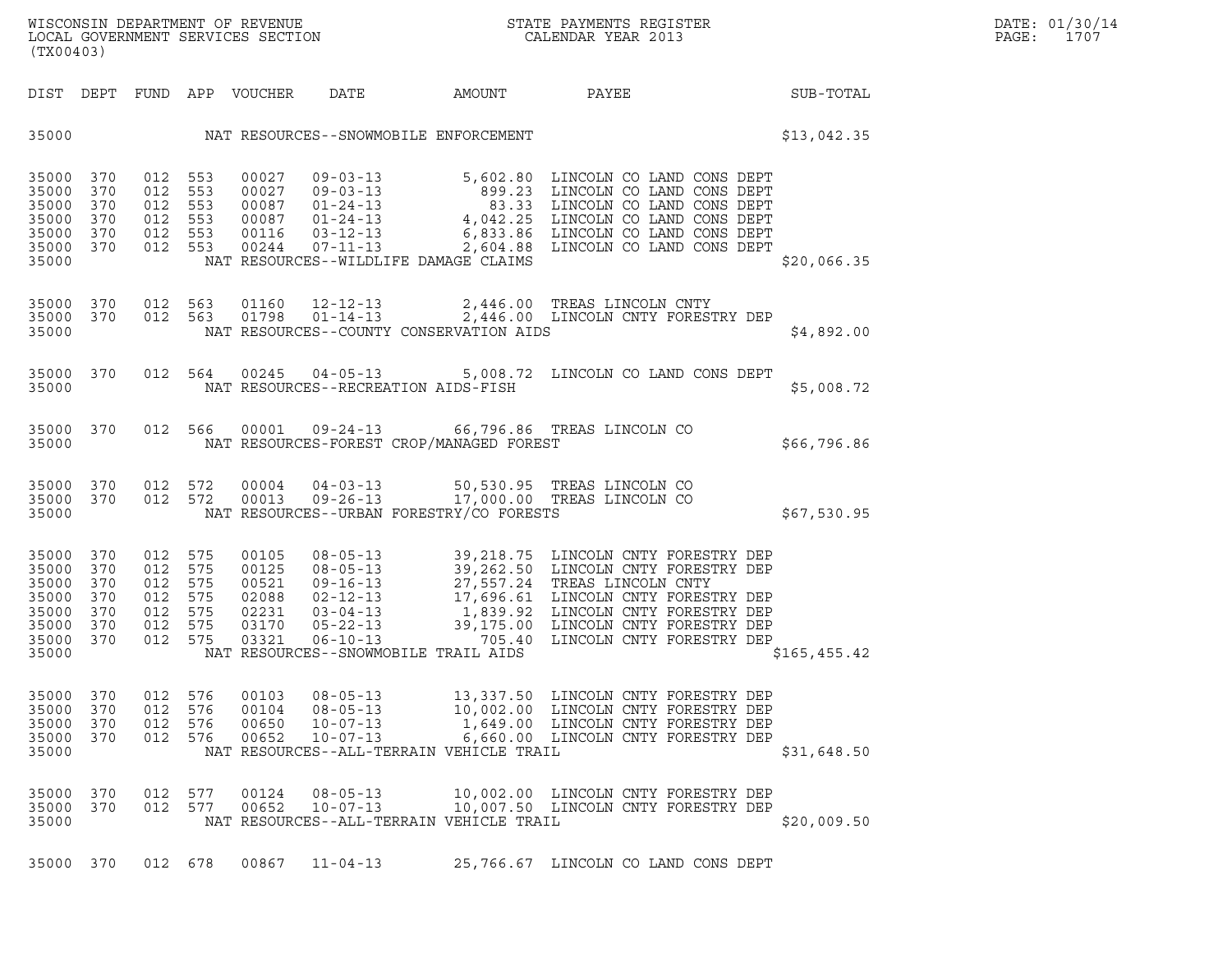|       | DATE: 01/30/14 |
|-------|----------------|
| PAGE: | 1707           |

| (TX00403)                                                            |                                               |                                                                |                          |                                                             |                                                                                                                  |           |                                                                                                                                                                                                                                                                              |               | DATE: 01/30/14<br>$\mathtt{PAGE:}$<br>1707 |
|----------------------------------------------------------------------|-----------------------------------------------|----------------------------------------------------------------|--------------------------|-------------------------------------------------------------|------------------------------------------------------------------------------------------------------------------|-----------|------------------------------------------------------------------------------------------------------------------------------------------------------------------------------------------------------------------------------------------------------------------------------|---------------|--------------------------------------------|
|                                                                      |                                               |                                                                |                          | DIST DEPT FUND APP VOUCHER                                  | DATE                                                                                                             | AMOUNT    | PAYEE SUB-TOTAL                                                                                                                                                                                                                                                              |               |                                            |
|                                                                      |                                               |                                                                |                          |                                                             | 35000 NAT RESOURCES--SNOWMOBILE ENFORCEMENT                                                                      |           |                                                                                                                                                                                                                                                                              | \$13,042.35   |                                            |
| 35000<br>35000<br>35000<br>35000<br>35000<br>35000 370<br>35000      | 370<br>370<br>370<br>370<br>370               | 012 553<br>012 553<br>012 553<br>012 553<br>012 553<br>012 553 |                          |                                                             | 00244 07-11-13<br>NAT RESOURCES--WILDLIFE DAMAGE CLAIMS                                                          |           | 00027 09-03-13 5,602.80 LINCOLN CO LAND CONS DEPT<br>00027 09-03-13 899.23 LINCOLN CO LAND CONS DEPT<br>00087 01-24-13 4,042.25 LINCOLN CO LAND CONS DEPT<br>0016 03-12-13 4,042.25 LINCOLN CO LAND CONS DEPT<br>00116 03-12-13 6,83.3<br>2,604.88 LINCOLN CO LAND CONS DEPT | \$20,066.35   |                                            |
| 35000                                                                | 35000 370                                     | 35000 370 012 563<br>012 563                                   |                          |                                                             | NAT RESOURCES--COUNTY CONSERVATION AIDS                                                                          |           | 01160  12-12-13  2,446.00 TREAS LINCOLN CNTY<br>01798  01-14-13  2,446.00 LINCOLN CNTY FORESTRY DEP                                                                                                                                                                          | \$4,892.00    |                                            |
| 35000                                                                | 35000 370                                     |                                                                |                          |                                                             | NAT RESOURCES--RECREATION AIDS-FISH                                                                              |           | 012 564 00245 04-05-13 5,008.72 LINCOLN CO LAND CONS DEPT                                                                                                                                                                                                                    | \$5,008.72    |                                            |
| 35000                                                                | 35000 370                                     | 012 566                                                        |                          |                                                             | NAT RESOURCES-FOREST CROP/MANAGED FOREST                                                                         |           | 00001  09-24-13  66,796.86  TREAS LINCOLN CO                                                                                                                                                                                                                                 | \$66,796.86   |                                            |
| 35000                                                                | 35000 370<br>35000 370                        | 012 572<br>012 572                                             |                          | 00004<br>00013                                              | $09 - 26 - 13$<br>NAT RESOURCES--URBAN FORESTRY/CO FORESTS                                                       |           | 04-03-13 50,530.95 TREAS LINCOLN CO<br>17,000.00 TREAS LINCOLN CO                                                                                                                                                                                                            | \$67,530.95   |                                            |
| 35000<br>35000<br>35000<br>35000<br>35000<br>35000<br>35000<br>35000 | 370<br>370<br>370<br>370<br>370<br>370<br>370 | 012 575<br>012<br>012<br>012<br>012 575<br>012<br>012 575      | 575<br>575<br>575<br>575 | 00105<br>00125<br>00521<br>02088<br>02231<br>03170<br>03321 | NAT RESOURCES--SNOWMOBILE TRAIL AIDS                                                                             |           | 39, 218.75 LINCOLN CNTY FORESTRY DEP<br>08-05-13 39, 262.50 LINCOLN CNTY FORESTRY DEP<br>09-16-13 27, 557.24 TREAS LINCOLN CNTY<br>02-12-13 17, 696.61 LINCOLN CNTY FORESTRY DEP<br>03-04-13 1, 839.92 LINCOLN CNTY FORESTRY DEP<br>05-2                                     | \$165, 455.42 |                                            |
| 35000<br>35000<br>35000<br>35000<br>35000                            | 370<br>370<br>370<br>370                      | 012<br>012<br>012<br>012 576                                   | 576<br>576<br>576        | 00103<br>00104<br>00650<br>00652                            | $08 - 05 - 13$<br>$08 - 05 - 13$<br>$10 - 07 - 13$<br>$10 - 07 - 13$<br>NAT RESOURCES--ALL-TERRAIN VEHICLE TRAIL | 10,002.00 | 13,337.50 LINCOLN CNTY FORESTRY DEP<br>LINCOLN CNTY FORESTRY DEP<br>1,649.00 LINCOLN CNTY FORESTRY DEP<br>6,660.00 LINCOLN CNTY FORESTRY DEP                                                                                                                                 | \$31,648.50   |                                            |
| 35000<br>35000<br>35000                                              | 370<br>370                                    | 012<br>012                                                     | 577<br>577               | 00124<br>00652                                              | $08 - 05 - 13$<br>$10 - 07 - 13$<br>NAT RESOURCES--ALL-TERRAIN VEHICLE TRAIL                                     |           | 10,002.00 LINCOLN CNTY FORESTRY DEP<br>10,007.50 LINCOLN CNTY FORESTRY DEP                                                                                                                                                                                                   | \$20,009.50   |                                            |
| 35000 370                                                            |                                               | 012 678                                                        |                          | 00867                                                       | $11 - 04 - 13$                                                                                                   |           | 25,766.67 LINCOLN CO LAND CONS DEPT                                                                                                                                                                                                                                          |               |                                            |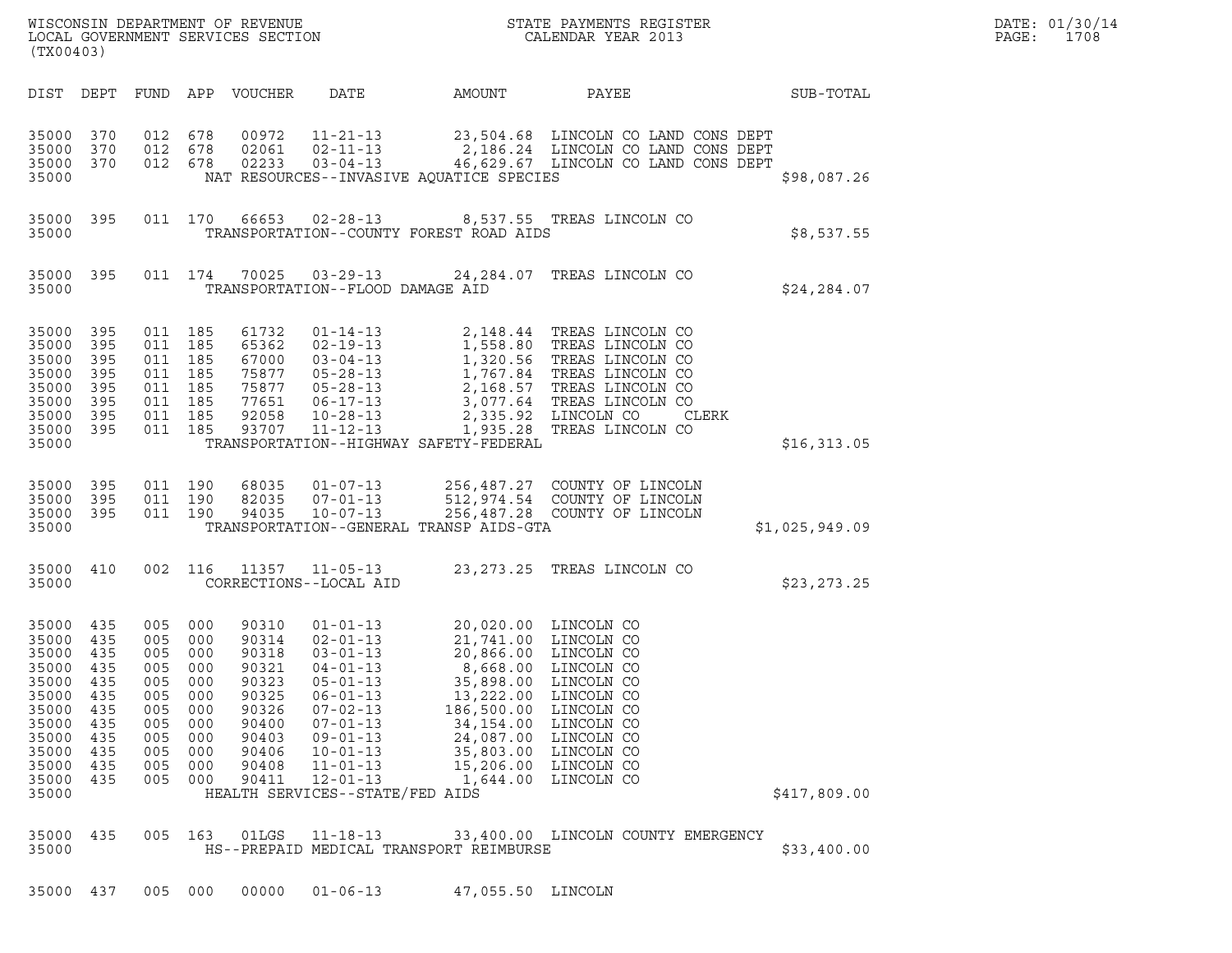| (TX00403)                                                                                                         |                                                                                  |                                                                                      |                                                                           |                                                                                                          |                                                                                                                                                                                                                                                         | ${\tt WISCO} {\tt NSM} {\tt NEDAR} {\tt TMB} {\tt NFWENT} {\tt NFWENT} {\tt STATE} {\tt PAYMENTS} {\tt REGISTER} {\tt LOCALENDAR} {\tt YEAR} {\tt 2013}$ |                                                                                                                                                                                                                                                                      |                | DATE: 01/30/14<br>PAGE:<br>1708 |
|-------------------------------------------------------------------------------------------------------------------|----------------------------------------------------------------------------------|--------------------------------------------------------------------------------------|---------------------------------------------------------------------------|----------------------------------------------------------------------------------------------------------|---------------------------------------------------------------------------------------------------------------------------------------------------------------------------------------------------------------------------------------------------------|----------------------------------------------------------------------------------------------------------------------------------------------------------|----------------------------------------------------------------------------------------------------------------------------------------------------------------------------------------------------------------------------------------------------------------------|----------------|---------------------------------|
|                                                                                                                   |                                                                                  |                                                                                      |                                                                           | DIST DEPT FUND APP VOUCHER                                                                               | DATE                                                                                                                                                                                                                                                    | AMOUNT                                                                                                                                                   | PAYEE                                                                                                                                                                                                                                                                | SUB-TOTAL      |                                 |
| 35000<br>35000<br>35000<br>35000                                                                                  | 370<br>370<br>370                                                                | 012 678<br>012<br>012 678                                                            | 678                                                                       | 00972<br>02061<br>02233                                                                                  | $02 - 11 - 13$<br>$03 - 04 - 13$                                                                                                                                                                                                                        | NAT RESOURCES--INVASIVE AQUATICE SPECIES                                                                                                                 | 11-21-13 23,504.68 LINCOLN CO LAND CONS DEPT<br>2,186.24 LINCOLN CO LAND CONS DEPT<br>46,629.67 LINCOLN CO LAND CONS DEPT                                                                                                                                            | \$98,087.26    |                                 |
| 35000 395<br>35000                                                                                                |                                                                                  |                                                                                      | 011 170                                                                   | 66653                                                                                                    | $02 - 28 - 13$                                                                                                                                                                                                                                          | TRANSPORTATION--COUNTY FOREST ROAD AIDS                                                                                                                  | 8,537.55 TREAS LINCOLN CO                                                                                                                                                                                                                                            | \$8,537.55     |                                 |
| 35000 395<br>35000                                                                                                |                                                                                  | 011 174                                                                              |                                                                           | 70025                                                                                                    | 03-29-13<br>TRANSPORTATION--FLOOD DAMAGE AID                                                                                                                                                                                                            |                                                                                                                                                          | 24,284.07 TREAS LINCOLN CO                                                                                                                                                                                                                                           | \$24, 284.07   |                                 |
| 35000<br>35000<br>35000<br>35000<br>35000<br>35000<br>35000<br>35000 395<br>35000                                 | 395<br>395<br>395<br>395<br>395<br>395<br>395                                    | 011 185<br>011<br>011 185<br>011 185<br>011 185<br>011 185<br>011 185<br>011 185     | 185                                                                       | 61732<br>65362<br>67000<br>75877<br>75877<br>77651<br>92058<br>93707                                     | $01 - 14 - 13$<br>$02 - 19 - 13$<br>$03 - 04 - 13$<br>$05 - 28 - 13$<br>$05 - 28 - 13$<br>$06 - 17 - 13$<br>$10 - 28 - 13$<br>$11 - 12 - 13$                                                                                                            | TRANSPORTATION--HIGHWAY SAFETY-FEDERAL                                                                                                                   | 2,148.44 TREAS LINCOLN CO<br>1,558.80 TREAS LINCOLN CO<br>1,320.56 TREAS LINCOLN CO<br>1,320.56 IREAD DINCOLN CO<br>1,767.84 TREAS LINCOLN CO<br>2,168.57 TREAS LINCOLN CO<br>3,077.64 TREAS LINCOLN CO<br>2,335.92 LINCOLN CO<br>CLERK<br>1,935.28 TREAS LINCOLN CO | \$16,313.05    |                                 |
| 35000<br>35000<br>35000<br>35000                                                                                  | 395<br>395<br>395                                                                | 011 190<br>011 190<br>011 190                                                        |                                                                           | 68035<br>82035<br>94035                                                                                  | $01 - 07 - 13$<br>$07 - 01 - 13$<br>$10 - 07 - 13$                                                                                                                                                                                                      | TRANSPORTATION--GENERAL TRANSP AIDS-GTA                                                                                                                  | 256,487.27 COUNTY OF LINCOLN<br>512,974.54 COUNTY OF LINCOLN<br>256,487.28 COUNTY OF LINCOLN                                                                                                                                                                         | \$1,025,949.09 |                                 |
| 35000 410<br>35000                                                                                                |                                                                                  | 002 116                                                                              |                                                                           | 11357                                                                                                    | $11 - 05 - 13$<br>CORRECTIONS--LOCAL AID                                                                                                                                                                                                                |                                                                                                                                                          | 23, 273.25 TREAS LINCOLN CO                                                                                                                                                                                                                                          | \$23, 273.25   |                                 |
| 35000<br>35000<br>35000<br>35000<br>35000<br>35000<br>35000<br>35000<br>35000<br>35000<br>35000<br>35000<br>35000 | 435<br>435<br>435<br>435<br>435<br>435<br>435<br>435<br>435<br>435<br>435<br>435 | 005 000<br>005<br>005<br>005<br>005<br>005<br>005<br>005<br>005<br>005<br>005<br>005 | 000<br>000<br>000<br>000<br>000<br>000<br>000<br>000<br>000<br>000<br>000 | 90310<br>90314<br>90318<br>90321<br>90323<br>90325<br>90326<br>90400<br>90403<br>90406<br>90408<br>90411 | $01 - 01 - 13$<br>$02 - 01 - 13$<br>$03 - 01 - 13$<br>$04 - 01 - 13$<br>$05 - 01 - 13$<br>$06 - 01 - 13$<br>$07 - 02 - 13$<br>$07 - 01 - 13$<br>$09 - 01 - 13$<br>$10 - 01 - 13$<br>$11 - 01 - 13$<br>$12 - 01 - 13$<br>HEALTH SERVICES--STATE/FED AIDS | 8,668.00<br>35,898.00<br>13,222.00<br>186,500.00<br>34,154.00<br>24,087.00<br>35,803.00<br>15,206.00<br>1,644.00                                         | 20,020.00 LINCOLN CO<br>21,741.00 LINCOLN CO<br>20,866.00 LINCOLN CO<br>LINCOLN CO<br>LINCOLN CO<br>LINCOLN CO<br>LINCOLN CO<br>LINCOLN CO<br>LINCOLN CO<br>LINCOLN CO<br>LINCOLN CO<br>LINCOLN CO                                                                   | \$417,809.00   |                                 |
| 35000<br>35000                                                                                                    | 435                                                                              | 005                                                                                  | 163                                                                       | 01LGS                                                                                                    | $11 - 18 - 13$                                                                                                                                                                                                                                          | HS--PREPAID MEDICAL TRANSPORT REIMBURSE                                                                                                                  | 33,400.00 LINCOLN COUNTY EMERGENCY                                                                                                                                                                                                                                   | \$33,400.00    |                                 |

35000 437 005 000 00000 01-06-13 47,055.50 LINCOLN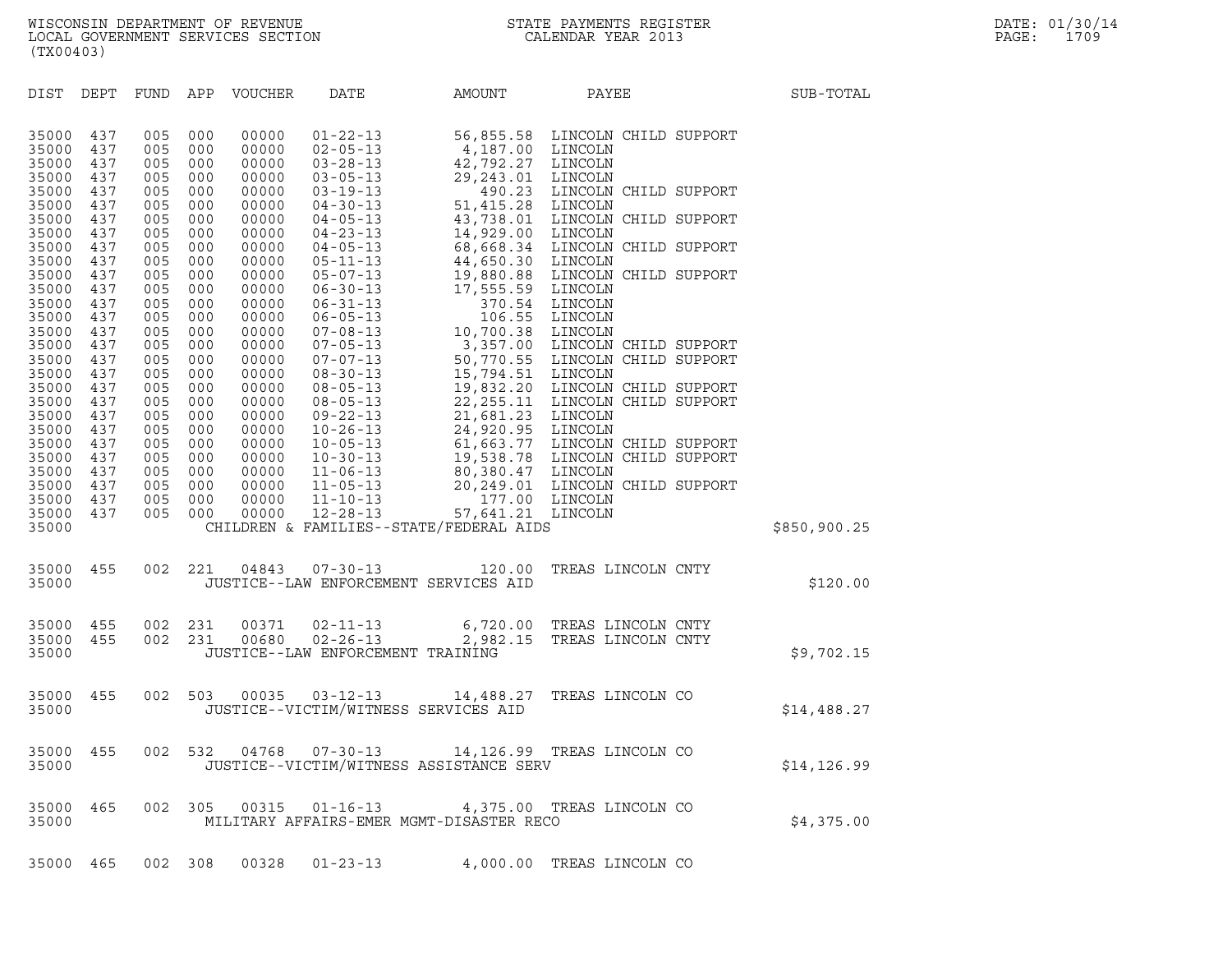| (TX00403)                        |                          |                          |                          |                                  |                                                                       |                                                    |                                                                                         |              |
|----------------------------------|--------------------------|--------------------------|--------------------------|----------------------------------|-----------------------------------------------------------------------|----------------------------------------------------|-----------------------------------------------------------------------------------------|--------------|
| DIST                             | DEPT                     | FUND APP                 |                          | VOUCHER                          | DATE                                                                  | AMOUNT                                             | PAYEE                                                                                   | SUB-TOTAL    |
| 35000<br>35000<br>35000<br>35000 | 437<br>437<br>437<br>437 | 005<br>005<br>005<br>005 | 000<br>000<br>000<br>000 | 00000<br>00000<br>00000<br>00000 | $01 - 22 - 13$<br>$02 - 05 - 13$<br>$03 - 28 - 13$<br>$03 - 05 - 13$  | 4,187.00 LINCOLN<br>42,792.27 LINCOLN<br>29,243.01 | 56,855.58 LINCOLN CHILD SUPPORT<br>LINCOLN                                              |              |
| 35000<br>35000                   | 437<br>437               | 005<br>005               | 000<br>000               | 00000<br>00000                   | $03 - 19 - 13$<br>$04 - 30 - 13$                                      | 490.23<br>51,415.28 LINCOLN                        | LINCOLN CHILD SUPPORT                                                                   |              |
| 35000<br>35000<br>35000          | 437<br>437<br>437        | 005<br>005<br>005        | 000<br>000<br>000        | 00000<br>00000<br>00000          | $04 - 05 - 13$<br>$04 - 23 - 13$                                      | 14,929.00 LINCOLN                                  | 43,738.01 LINCOLN CHILD SUPPORT<br>68,668.34 LINCOLN CHILD SUPPORT                      |              |
| 35000<br>35000                   | 437<br>437               | 005<br>005               | 000<br>000               | 00000<br>00000                   | $04 - 05 - 13$<br>$05 - 11 - 13$<br>$05 - 07 - 13$                    | 44,650.30 LINCOLN                                  | 19,880.88 LINCOLN CHILD SUPPORT                                                         |              |
| 35000<br>35000<br>35000<br>35000 | 437<br>437<br>437<br>437 | 005<br>005<br>005<br>005 | 000<br>000<br>000<br>000 | 00000<br>00000<br>00000<br>00000 | $06 - 30 - 13$<br>$06 - 31 - 13$<br>$06 - 05 - 13$<br>$07 - 08 - 13$  | 17,555.59 LINCOLN<br>10,700.38 LINCOLN             | 370.54 LINCOLN<br>106.55 LINCOLN                                                        |              |
| 35000<br>35000<br>35000          | 437<br>437<br>437        | 005<br>005<br>005        | 000<br>000<br>000        | 00000<br>00000<br>00000          | $07 - 05 - 13$<br>$07 - 07 - 13$<br>$08 - 30 - 13$                    | 15,794.51 LINCOLN                                  | 3,357.00 LINCOLN CHILD SUPPORT<br>50,770.55 LINCOLN CHILD SUPPORT                       |              |
| 35000<br>35000<br>35000<br>35000 | 437<br>437<br>437<br>437 | 005<br>005<br>005<br>005 | 000<br>000<br>000<br>000 | 00000<br>00000<br>00000<br>00000 | $08 - 05 - 13$<br>$08 - 05 - 13$<br>$09 - 22 - 13$<br>$10 - 26 - 13$  | 21,681.23 LINCOLN<br>24,920.95 LINCOLN             | 19,832.20 LINCOLN CHILD SUPPORT<br>22, 255.11 LINCOLN CHILD SUPPORT                     |              |
| 35000<br>35000<br>35000          | 437<br>437<br>437        | 005<br>005<br>005        | 000<br>000<br>000        | 00000<br>00000<br>00000          | $10 - 05 - 13$<br>$10 - 30 - 13$<br>$11 - 06 - 13$                    |                                                    | 61,663.77 LINCOLN CHILD SUPPORT<br>19,538.78 LINCOLN CHILD SUPPORT<br>80,380.47 LINCOLN |              |
| 35000<br>35000<br>35000          | 437<br>437<br>437        | 005<br>005<br>005        | 000<br>000<br>000        | 00000<br>00000<br>00000          | $11 - 05 - 13$<br>$11 - 10 - 13$<br>$12 - 28 - 13$                    | 57,641.21 LINCOLN                                  | 20,249.01 LINCOLN CHILD SUPPORT<br>177.00 LINCOLN                                       |              |
| 35000                            |                          |                          |                          |                                  |                                                                       | CHILDREN & FAMILIES--STATE/FEDERAL AIDS            |                                                                                         | \$850,900.25 |
| 35000<br>35000                   | 455                      | 002                      | 221                      | 04843                            | $07 - 30 - 13$                                                        | 120.00<br>JUSTICE--LAW ENFORCEMENT SERVICES AID    | TREAS LINCOLN CNTY                                                                      | \$120.00     |
| 35000<br>35000<br>35000          | 455<br>455               | 002<br>002               | 231<br>231               | 00371<br>00680                   | $02 - 11 - 13$<br>$02 - 26 - 13$<br>JUSTICE--LAW ENFORCEMENT TRAINING | 6,720.00<br>2,982.15                               | TREAS LINCOLN CNTY<br>TREAS LINCOLN CNTY                                                | \$9,702.15   |
| 35000<br>35000                   | 455                      | 002                      | 503                      | 00035                            | $03 - 12 - 13$<br>JUSTICE--VICTIM/WITNESS SERVICES AID                | 14,488.27                                          | TREAS LINCOLN CO                                                                        | \$14,488.27  |
| 35000<br>35000                   | 455                      | 002                      | 532                      | 04768                            | $07 - 30 - 13$                                                        | JUSTICE--VICTIM/WITNESS ASSISTANCE SERV            | 14,126.99 TREAS LINCOLN CO                                                              | \$14,126.99  |
| 35000<br>35000                   | 465                      | 002                      | 305                      | 00315                            | $01 - 16 - 13$                                                        | MILITARY AFFAIRS-EMER MGMT-DISASTER RECO           | 4,375.00 TREAS LINCOLN CO                                                               | \$4,375.00   |

35000 465 002 308 00328 01-23-13 4,000.00 TREAS LINCOLN CO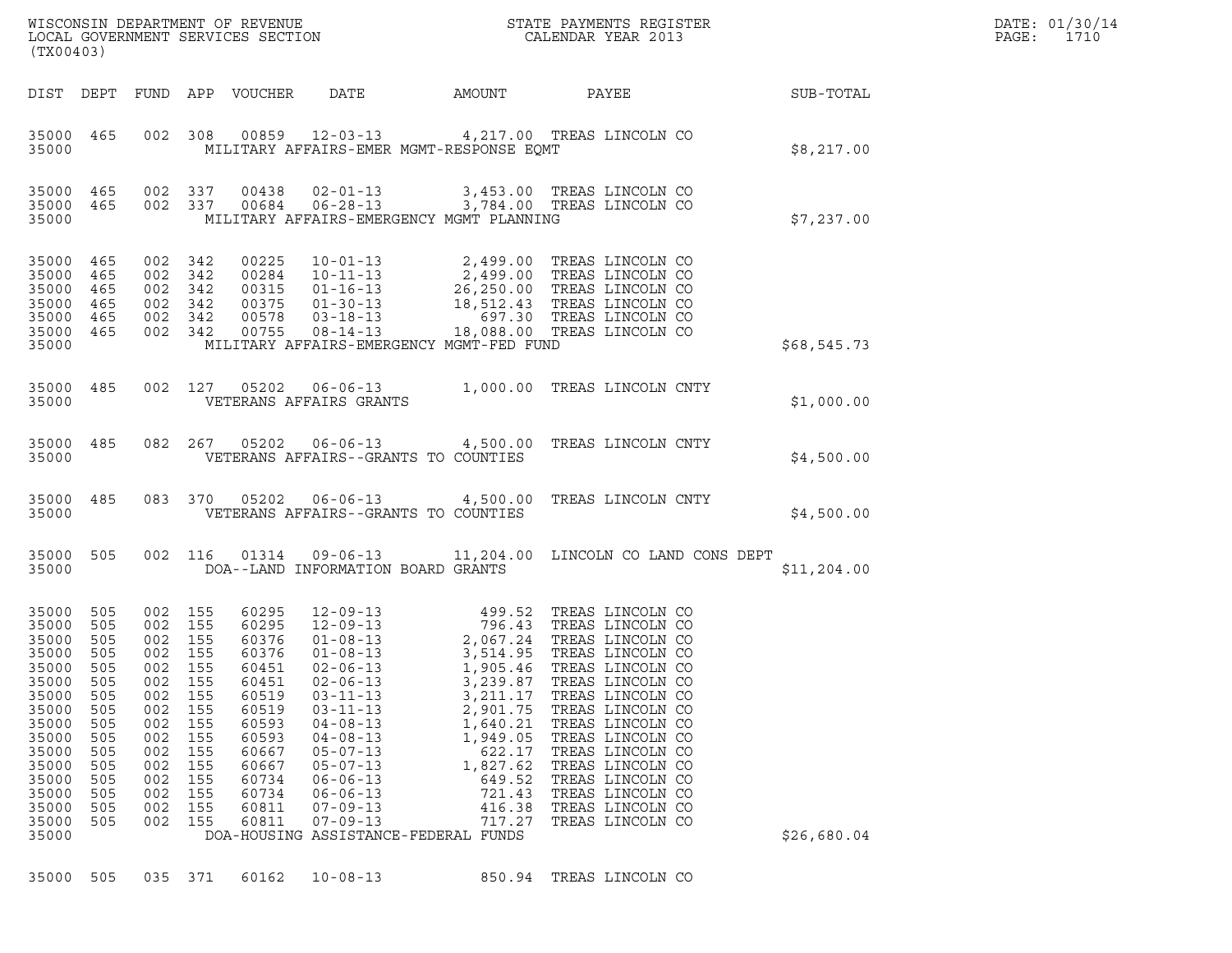| (TX00403)                                                                                                                                                 |                                                                                                       |                                                                           |                                                                                                                                  |                                                                                                                                              |                                                                                                                                                                                                                      |                                                                                                                                                                | % WISCONSIN DEPARTMENT OF REVENUE $$\tt STATE~PAYMENTS~REGISTER$ LOCAL GOVERNMENT SERVICES SECTION $$\tt CALENDAR~YEAR~2013$$                                                                                                                                                                                                                                                                                     |                        |
|-----------------------------------------------------------------------------------------------------------------------------------------------------------|-------------------------------------------------------------------------------------------------------|---------------------------------------------------------------------------|----------------------------------------------------------------------------------------------------------------------------------|----------------------------------------------------------------------------------------------------------------------------------------------|----------------------------------------------------------------------------------------------------------------------------------------------------------------------------------------------------------------------|----------------------------------------------------------------------------------------------------------------------------------------------------------------|-------------------------------------------------------------------------------------------------------------------------------------------------------------------------------------------------------------------------------------------------------------------------------------------------------------------------------------------------------------------------------------------------------------------|------------------------|
|                                                                                                                                                           |                                                                                                       |                                                                           |                                                                                                                                  | DIST DEPT FUND APP VOUCHER                                                                                                                   | DATE                                                                                                                                                                                                                 |                                                                                                                                                                |                                                                                                                                                                                                                                                                                                                                                                                                                   | AMOUNT PAYEE SUB-TOTAL |
| 35000 465<br>35000                                                                                                                                        |                                                                                                       |                                                                           |                                                                                                                                  |                                                                                                                                              |                                                                                                                                                                                                                      | MILITARY AFFAIRS-EMER MGMT-RESPONSE EOMT                                                                                                                       | 002 308 00859 12-03-13 4,217.00 TREAS LINCOLN CO                                                                                                                                                                                                                                                                                                                                                                  | \$8,217.00             |
| 35000 465<br>35000 465<br>35000                                                                                                                           |                                                                                                       | 002 337                                                                   |                                                                                                                                  | 002 337 00684                                                                                                                                |                                                                                                                                                                                                                      | MILITARY AFFAIRS-EMERGENCY MGMT PLANNING                                                                                                                       |                                                                                                                                                                                                                                                                                                                                                                                                                   | \$7,237.00             |
| 35000 465<br>35000 465<br>35000<br>35000<br>35000<br>35000 465<br>35000                                                                                   | 465<br>465<br>465                                                                                     |                                                                           | 002 342<br>002 342<br>002 342<br>002 342<br>002 342<br>002 342                                                                   | 00225<br>00284<br>00315<br>00375<br>00578<br>00755                                                                                           |                                                                                                                                                                                                                      | MILITARY AFFAIRS-EMERGENCY MGMT-FED FUND                                                                                                                       |                                                                                                                                                                                                                                                                                                                                                                                                                   | \$68,545.73            |
| 35000 485<br>35000                                                                                                                                        |                                                                                                       |                                                                           |                                                                                                                                  | 002 127 05202                                                                                                                                | VETERANS AFFAIRS GRANTS                                                                                                                                                                                              |                                                                                                                                                                | 06-06-13 1,000.00 TREAS LINCOLN CNTY                                                                                                                                                                                                                                                                                                                                                                              | \$1,000.00             |
| 35000 485<br>35000                                                                                                                                        |                                                                                                       |                                                                           |                                                                                                                                  | 082 267 05202                                                                                                                                |                                                                                                                                                                                                                      | VETERANS AFFAIRS--GRANTS TO COUNTIES                                                                                                                           | 06-06-13 4,500.00 TREAS LINCOLN CNTY                                                                                                                                                                                                                                                                                                                                                                              | \$4,500.00             |
| 35000 485<br>35000                                                                                                                                        |                                                                                                       |                                                                           |                                                                                                                                  | 083 370 05202                                                                                                                                |                                                                                                                                                                                                                      | VETERANS AFFAIRS--GRANTS TO COUNTIES                                                                                                                           | 06-06-13 4,500.00 TREAS LINCOLN CNTY                                                                                                                                                                                                                                                                                                                                                                              | \$4,500.00             |
| 35000 505<br>35000                                                                                                                                        |                                                                                                       |                                                                           |                                                                                                                                  | 002 116 01314                                                                                                                                | DOA--LAND INFORMATION BOARD GRANTS                                                                                                                                                                                   |                                                                                                                                                                | 09-06-13 11,204.00 LINCOLN CO LAND CONS DEPT                                                                                                                                                                                                                                                                                                                                                                      | \$11,204.00            |
| 35000 505<br>35000<br>35000<br>35000<br>35000<br>35000<br>35000<br>35000<br>35000<br>35000<br>35000<br>35000<br>35000<br>35000<br>35000<br>35000<br>35000 | 505<br>505<br>505<br>505<br>505<br>505<br>505<br>505<br>505<br>505<br>505<br>505<br>505<br>505<br>505 | 002<br>002<br>002<br>002<br>002<br>002<br>002<br>002<br>002<br>002<br>002 | 002 155<br>002 155<br>002 155<br>002 155<br>002 155<br>155<br>155<br>155<br>155<br>155<br>155<br>155<br>155<br>155<br>155<br>155 | 60295<br>60295<br>60376<br>60376<br>60451<br>60451<br>60519<br>60519<br>60593<br>60593<br>60667<br>60667<br>60734<br>60734<br>60811<br>60811 | $02 - 06 - 13$<br>$02 - 06 - 13$<br>$03 - 11 - 13$<br>$03 - 11 - 13$<br>$04 - 08 - 13$<br>$04 - 08 - 13$<br>$05 - 07 - 13$<br>$05 - 07 - 13$<br>$06 - 06 - 13$<br>$06 - 06 - 13$<br>$07 - 09 - 13$<br>$07 - 09 - 13$ | 3,239.87<br>3,211.17<br>2,901.75<br>1,640.21<br>1,949.05<br>622.17<br>1,827.62<br>649.52<br>721.43<br>416.38<br>717.27<br>DOA-HOUSING ASSISTANCE-FEDERAL FUNDS | 12-09-13<br>12-09-13<br>12-09-13<br>12-09-13<br>2,067.24<br>TREAS LINCOLN CO<br>01-08-13<br>3,514.95<br>TREAS LINCOLN CO<br>2,067.24<br>TREAS LINCOLN CO<br>1,905.46 TREAS LINCOLN CO<br>TREAS LINCOLN CO<br>TREAS LINCOLN CO<br>TREAS LINCOLN CO<br>TREAS LINCOLN CO<br>TREAS LINCOLN CO<br>TREAS LINCOLN CO<br>TREAS LINCOLN CO<br>TREAS LINCOLN CO<br>TREAS LINCOLN CO<br>TREAS LINCOLN CO<br>TREAS LINCOLN CO | \$26,680.04            |
| 35000 505                                                                                                                                                 |                                                                                                       |                                                                           | 035 371                                                                                                                          | 60162                                                                                                                                        | $10 - 08 - 13$                                                                                                                                                                                                       | 850.94                                                                                                                                                         | TREAS LINCOLN CO                                                                                                                                                                                                                                                                                                                                                                                                  |                        |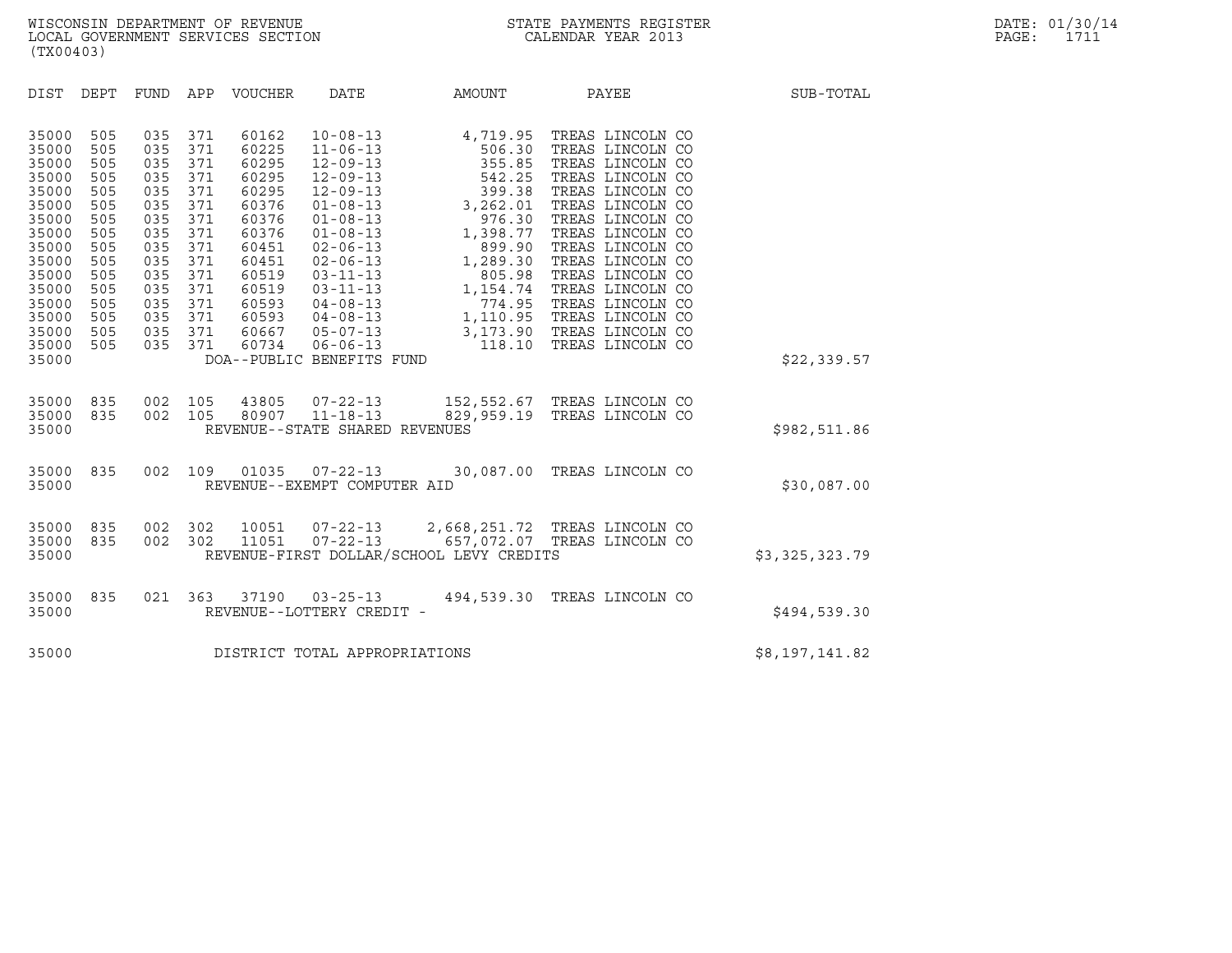| (TX00403)                                                                                                                                                                                                                                                             |                                                                                                                                                                                                                              |                                                                                                                                                                                                                                                                                                                                                                                                                                                                           |                                                                                                                                                          |                                                                                                                                                                                                                                                                                                                                                         |                |
|-----------------------------------------------------------------------------------------------------------------------------------------------------------------------------------------------------------------------------------------------------------------------|------------------------------------------------------------------------------------------------------------------------------------------------------------------------------------------------------------------------------|---------------------------------------------------------------------------------------------------------------------------------------------------------------------------------------------------------------------------------------------------------------------------------------------------------------------------------------------------------------------------------------------------------------------------------------------------------------------------|----------------------------------------------------------------------------------------------------------------------------------------------------------|---------------------------------------------------------------------------------------------------------------------------------------------------------------------------------------------------------------------------------------------------------------------------------------------------------------------------------------------------------|----------------|
| DEPT<br>DIST                                                                                                                                                                                                                                                          | FUND<br>APP                                                                                                                                                                                                                  | VOUCHER<br>DATE                                                                                                                                                                                                                                                                                                                                                                                                                                                           | AMOUNT                                                                                                                                                   | PAYEE                                                                                                                                                                                                                                                                                                                                                   | SUB-TOTAL      |
| 35000<br>505<br>35000<br>505<br>35000<br>505<br>35000<br>505<br>35000<br>505<br>35000<br>505<br>35000<br>505<br>35000<br>505<br>35000<br>505<br>505<br>35000<br>35000<br>505<br>35000<br>505<br>35000<br>505<br>35000<br>505<br>35000<br>505<br>35000<br>505<br>35000 | 035<br>371<br>035<br>371<br>035<br>371<br>035<br>371<br>035<br>371<br>371<br>035<br>371<br>035<br>035<br>371<br>035<br>371<br>371<br>035<br>035<br>371<br>035<br>371<br>035<br>371<br>035<br>371<br>035<br>371<br>035<br>371 | 60162<br>$10 - 08 - 13$<br>60225<br>$11 - 06 - 13$<br>60295<br>$12 - 09 - 13$<br>60295<br>$12 - 09 - 13$<br>60295<br>$12 - 09 - 13$<br>60376<br>$01 - 08 - 13$<br>60376<br>$01 - 08 - 13$<br>60376<br>$01 - 08 - 13$<br>60451<br>$02 - 06 - 13$<br>60451<br>$02 - 06 - 13$<br>60519<br>$03 - 11 - 13$<br>60519<br>$03 - 11 - 13$<br>60593<br>$04 - 08 - 13$<br>60593<br>$04 - 08 - 13$<br>60667<br>$05 - 07 - 13$<br>60734<br>$06 - 06 - 13$<br>DOA--PUBLIC BENEFITS FUND | 506.30<br>355.85<br>$542.25$<br>$399.38$<br>$3,262.01$<br>3,262.01<br>976.30<br>1,398.77<br>899.90<br>1,289.30<br>805.98<br>1,154.74<br>774.95<br>118.10 | 4,719.95 TREAS LINCOLN CO<br>TREAS LINCOLN CO<br>TREAS LINCOLN CO<br>TREAS LINCOLN CO<br>TREAS LINCOLN CO<br>TREAS LINCOLN CO<br>TREAS LINCOLN CO<br>TREAS LINCOLN CO<br>TREAS LINCOLN CO<br>TREAS LINCOLN CO<br>TREAS LINCOLN CO<br>TREAS LINCOLN CO<br>TREAS LINCOLN CO<br>1,110.95 TREAS LINCOLN CO<br>3,173.90 TREAS LINCOLN CO<br>TREAS LINCOLN CO | \$22,339.57    |
| 35000<br>835<br>835<br>35000<br>35000                                                                                                                                                                                                                                 | 002<br>105<br>002<br>105                                                                                                                                                                                                     | 43805<br>$07 - 22 - 13$<br>80907 11-18-13<br>REVENUE--STATE SHARED REVENUES                                                                                                                                                                                                                                                                                                                                                                                               |                                                                                                                                                          | 152,552.67 TREAS LINCOLN CO<br>829,959.19 TREAS LINCOLN CO                                                                                                                                                                                                                                                                                              | \$982,511.86   |
| 835<br>35000<br>35000                                                                                                                                                                                                                                                 | 002<br>109                                                                                                                                                                                                                   | 01035<br>$07 - 22 - 13$<br>REVENUE--EXEMPT COMPUTER AID                                                                                                                                                                                                                                                                                                                                                                                                                   |                                                                                                                                                          | 30,087.00 TREAS LINCOLN CO                                                                                                                                                                                                                                                                                                                              | \$30,087.00    |
| 835<br>35000<br>835<br>35000<br>35000                                                                                                                                                                                                                                 | 002<br>302<br>002<br>302                                                                                                                                                                                                     | $07 - 22 - 13$<br>10051<br>$07 - 22 - 13$<br>11051<br>REVENUE-FIRST DOLLAR/SCHOOL LEVY CREDITS                                                                                                                                                                                                                                                                                                                                                                            |                                                                                                                                                          | 2,668,251.72 TREAS LINCOLN CO<br>657,072.07 TREAS LINCOLN CO                                                                                                                                                                                                                                                                                            | \$3,325,323.79 |
| 35000<br>835<br>35000                                                                                                                                                                                                                                                 | 021<br>363                                                                                                                                                                                                                   | 37190<br>$03 - 25 - 13$<br>REVENUE--LOTTERY CREDIT -                                                                                                                                                                                                                                                                                                                                                                                                                      |                                                                                                                                                          | 494,539.30 TREAS LINCOLN CO                                                                                                                                                                                                                                                                                                                             | \$494,539.30   |
| 35000                                                                                                                                                                                                                                                                 |                                                                                                                                                                                                                              | DISTRICT TOTAL APPROPRIATIONS                                                                                                                                                                                                                                                                                                                                                                                                                                             |                                                                                                                                                          |                                                                                                                                                                                                                                                                                                                                                         | \$8,197,141.82 |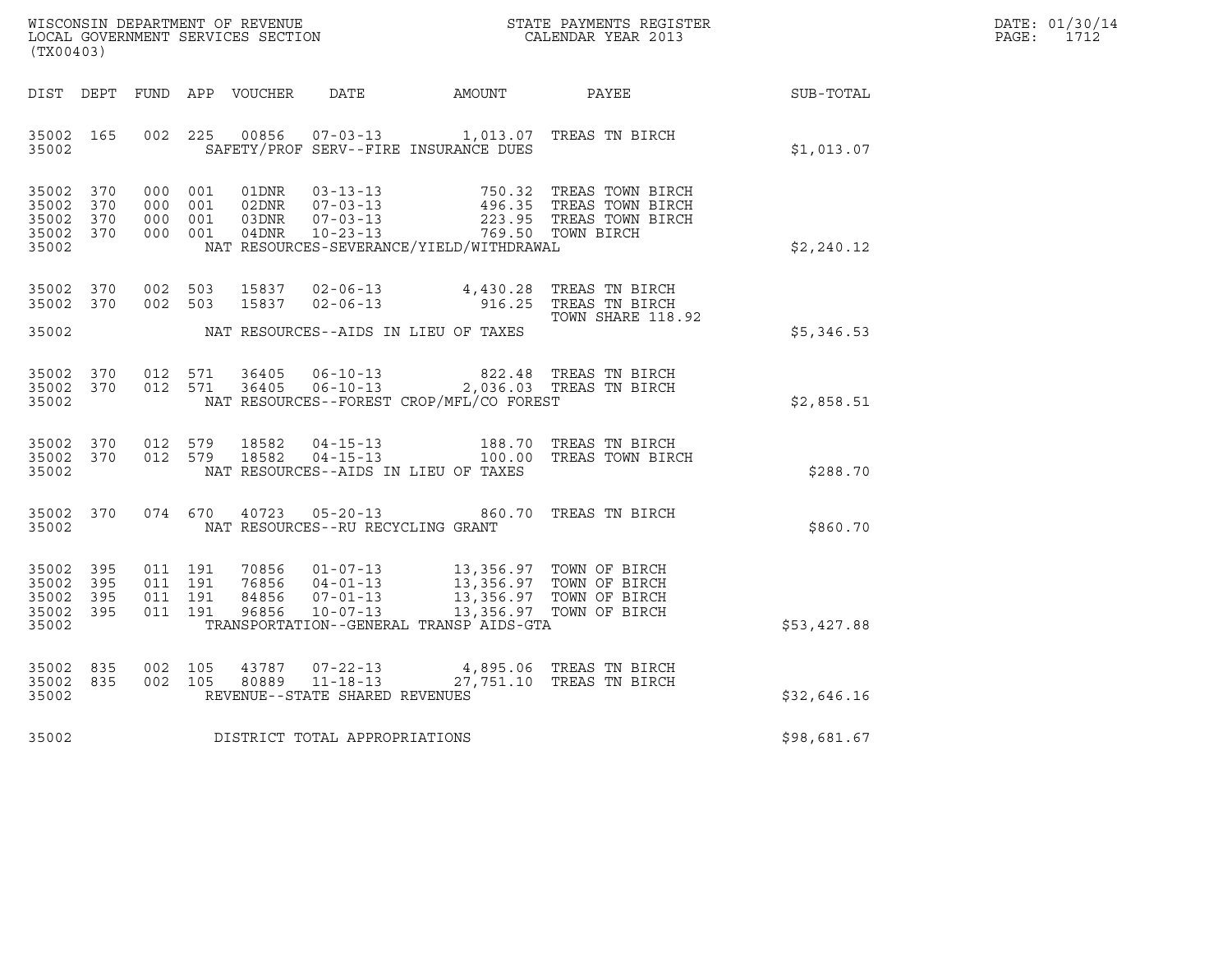| WISCONSIN DEPARTMENT OF REVENUE   | STATE PAYMENTS REGISTER | DATE: 01/30/14<br>1710 |
|-----------------------------------|-------------------------|------------------------|
| LOCAL GOVERNMENT SERVICES SECTION | CALENDAR YEAR 2013      | PAGE:                  |

| (TX00403)                                                 |                                     |                                                                                                                                                                                                                                                      |                   |             | DATE: 01/30/14<br>$\mathtt{PAGE}$ :<br>1712 |
|-----------------------------------------------------------|-------------------------------------|------------------------------------------------------------------------------------------------------------------------------------------------------------------------------------------------------------------------------------------------------|-------------------|-------------|---------------------------------------------|
|                                                           |                                     | DIST DEPT FUND APP VOUCHER DATE AMOUNT PAYEE                                                                                                                                                                                                         |                   | SUB-TOTAL   |                                             |
| 35002                                                     |                                     | 35002 165 002 225 00856 07-03-13 1,013.07 TREAS TN BIRCH<br>SAFETY/PROF SERV--FIRE INSURANCE DUES                                                                                                                                                    |                   | \$1,013.07  |                                             |
| 35002 370<br>35002 370<br>35002 370<br>35002 370<br>35002 |                                     | 000 001 01DNR 03-13-13 750.32 TREAS TOWN BIRCH<br>000 001 02DNR 07-03-13 496.35 TREAS TOWN BIRCH<br>000 001 03DNR 07-03-13 223.95 TREAS TOWN BIRCH<br>000 001 04DNR 10-23-13 769.50 TOWN BIRCH<br>NAT RESOURCES-SEVERANCE/YIELD/WITHDRAWAL           |                   | \$2, 240.12 |                                             |
| 35002 370<br>35002 370                                    |                                     | 002 503 15837 02-06-13 4,430.28 TREAS TN BIRCH<br>002 503 15837 02-06-13 916.25 TREAS TN BIRCH<br>35002 NAT RESOURCES--AIDS IN LIEU OF TAXES                                                                                                         | TOWN SHARE 118.92 | \$5,346.53  |                                             |
| 35002                                                     |                                     | $\begin{array}{cccccc} 35002 & 370 & 012 & 571 & 36405 & 06-10-13 & & & 822.48 & \text{TREAS TN BIRCH} \\ 35002 & 370 & 012 & 571 & 36405 & 06-10-13 & & & 2,036.03 & \text{TREAS TN BIRCH} \end{array}$<br>NAT RESOURCES--FOREST CROP/MFL/CO FOREST |                   | \$2,858.51  |                                             |
| 35002 370<br>35002 370<br>35002                           |                                     | 012 579 18582 04-15-13 188.70 TREAS TN BIRCH<br>012 579 18582 04-15-13 100.00 TREAS TOWN BIRCH<br>NAT RESOURCES--AIDS IN LIEU OF TAXES                                                                                                               |                   | \$288.70    |                                             |
| 35002 370<br>35002                                        |                                     | 074    670    40723    05-20-13    660.70    TREAS TN BIRCH<br>NAT RESOURCES--RU RECYCLING GRANT                                                                                                                                                     |                   | \$860.70    |                                             |
| 35002 395<br>35002 395<br>35002 395<br>35002 395<br>35002 |                                     | 011 191 70856 01-07-13 13,356.97 TOWN OF BIRCH<br>011 191 76856 04-01-13 13,356.97 TOWN OF BIRCH<br>011 191 84856 07-01-13 13,356.97 TOWN OF BIRCH<br>011 191 96856 10-07-13 13,356.97 TOWN OF BIRCH<br>TRANSPORTATION--GENERAL TRANSP AIDS-GTA      |                   | \$53,427.88 |                                             |
| 35002 835<br>35002 835<br>35002                           | REVENUE--STATE SHARED REVENUES      | 002 105 43787 07-22-13 4,895.06 TREAS TN BIRCH<br>002 105 80889 11-18-13 27,751.10 TREAS TN BIRCH                                                                                                                                                    |                   | \$32,646.16 |                                             |
|                                                           | 35002 DISTRICT TOTAL APPROPRIATIONS |                                                                                                                                                                                                                                                      |                   | \$98,681.67 |                                             |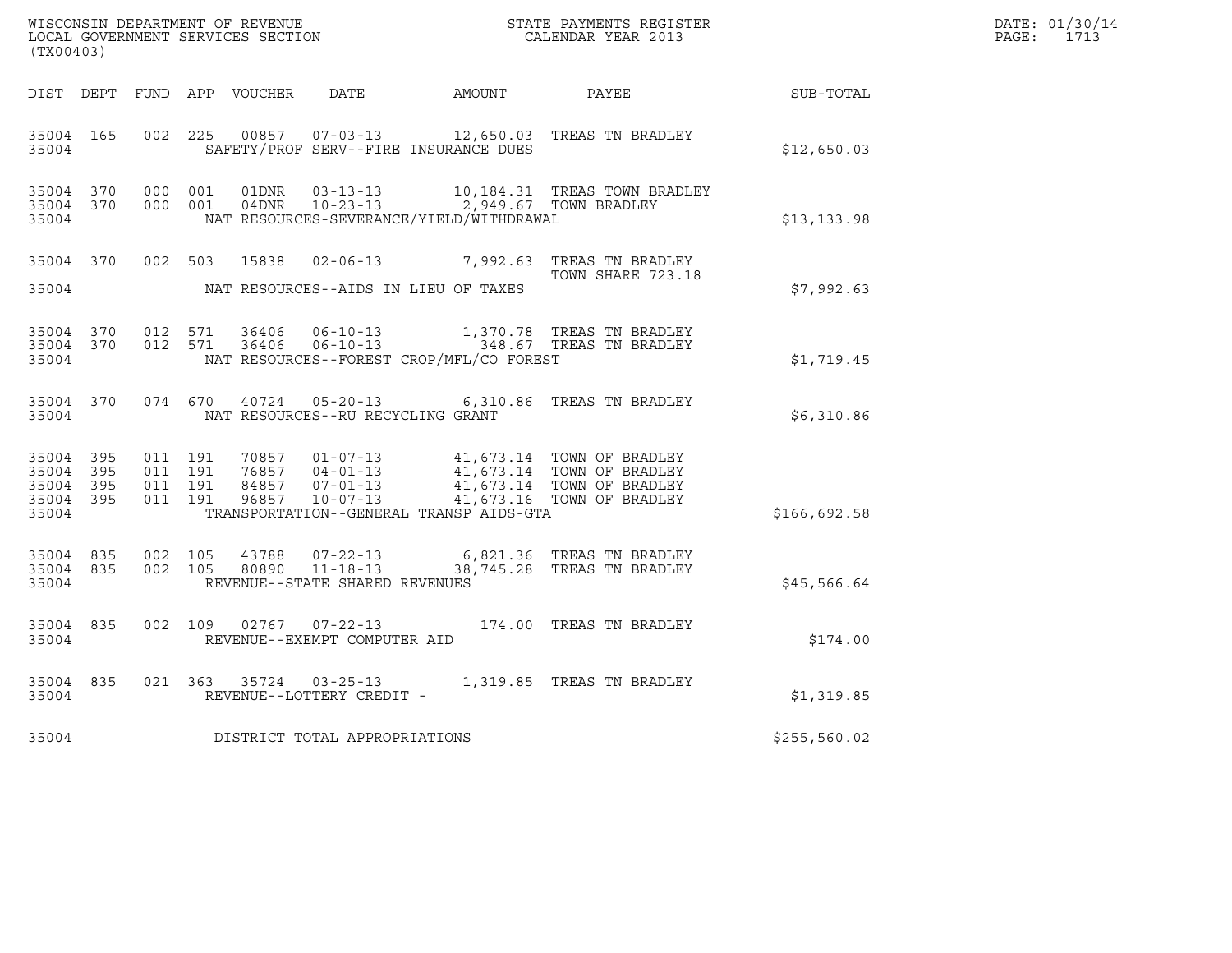| WISCONSIN DEPARTMENT OF REVENUE<br>LOCAL GOVERNMENT SERVICES SECTION<br>(TX00403) |           |                               |         |       |                                                          |                                                                                    | STATE PAYMENTS REGISTER<br>CALENDAR YEAR 2013                                                                                                                                        |              | DATE: 01/30/14<br>PAGE: 1713 |
|-----------------------------------------------------------------------------------|-----------|-------------------------------|---------|-------|----------------------------------------------------------|------------------------------------------------------------------------------------|--------------------------------------------------------------------------------------------------------------------------------------------------------------------------------------|--------------|------------------------------|
|                                                                                   |           |                               |         |       |                                                          |                                                                                    | DIST DEPT FUND APP VOUCHER DATE AMOUNT PAYEE THE SUB-TOTAL                                                                                                                           |              |                              |
| 35004 165<br>35004                                                                |           |                               |         |       |                                                          | SAFETY/PROF SERV--FIRE INSURANCE DUES                                              | 002 225 00857 07-03-13 12,650.03 TREAS TN BRADLEY                                                                                                                                    | \$12,650.03  |                              |
| 35004                                                                             | 35004 370 | 35004 370 000 001             | 000 001 | 01DNR | $03 - 13 - 13$                                           | 04DNR  10-23-13  2,949.67 TOWN BRADLEY<br>NAT RESOURCES-SEVERANCE/YIELD/WITHDRAWAL | 10,184.31 TREAS TOWN BRADLEY                                                                                                                                                         | \$13,133.98  |                              |
| 35004                                                                             |           |                               |         |       |                                                          | NAT RESOURCES--AIDS IN LIEU OF TAXES                                               | 35004 370 002 503 15838 02-06-13 7,992.63 TREAS TN BRADLEY<br>TOWN SHARE 723.18                                                                                                      | \$7,992.63   |                              |
| 35004 370<br>35004                                                                |           | 35004 370 012 571             | 012 571 | 36406 | 36406 06-10-13                                           | NAT RESOURCES--FOREST CROP/MFL/CO FOREST                                           | 1,370.78 TREAS TN BRADLEY                                                                                                                                                            | \$1,719.45   |                              |
|                                                                                   | 35004     |                               |         |       | NAT RESOURCES--RU RECYCLING GRANT                        |                                                                                    | 35004 370 074 670 40724 05-20-13 6,310.86 TREAS TN BRADLEY                                                                                                                           | \$6,310.86   |                              |
| 35004 395<br>35004 395<br>35004 395<br>35004                                      | 35004 395 | 011 191<br>011 191<br>011 191 | 011 191 |       |                                                          | TRANSPORTATION--GENERAL TRANSP AIDS-GTA                                            | 70857  01-07-13  41,673.14 TOWN OF BRADLEY<br>76857  04-01-13  41,673.14 TOWN OF BRADLEY<br>84857  07-01-13  41,673.14 TOWN OF BRADLEY<br>96857  10-07-13  41,673.16 TOWN OF BRADLEY | \$166,692.58 |                              |
| 35004 835<br>35004                                                                |           | 35004 835 002 105             |         | 43788 | 002 105 80890 11-18-13<br>REVENUE--STATE SHARED REVENUES |                                                                                    | 07-22-13 6,821.36 TREAS TN BRADLEY<br>38,745.28 TREAS TN BRADLEY                                                                                                                     | \$45,566.64  |                              |
| 35004                                                                             | 35004 835 |                               |         |       | REVENUE--EXEMPT COMPUTER AID                             |                                                                                    | 002 109 02767 07-22-13 174.00 TREAS TN BRADLEY                                                                                                                                       | \$174.00     |                              |
| 35004                                                                             | 35004 835 |                               |         |       | REVENUE--LOTTERY CREDIT -                                |                                                                                    | 021 363 35724 03-25-13 1,319.85 TREAS TN BRADLEY                                                                                                                                     | \$1,319.85   |                              |
| 35004                                                                             |           |                               |         |       | DISTRICT TOTAL APPROPRIATIONS                            |                                                                                    |                                                                                                                                                                                      | \$255,560.02 |                              |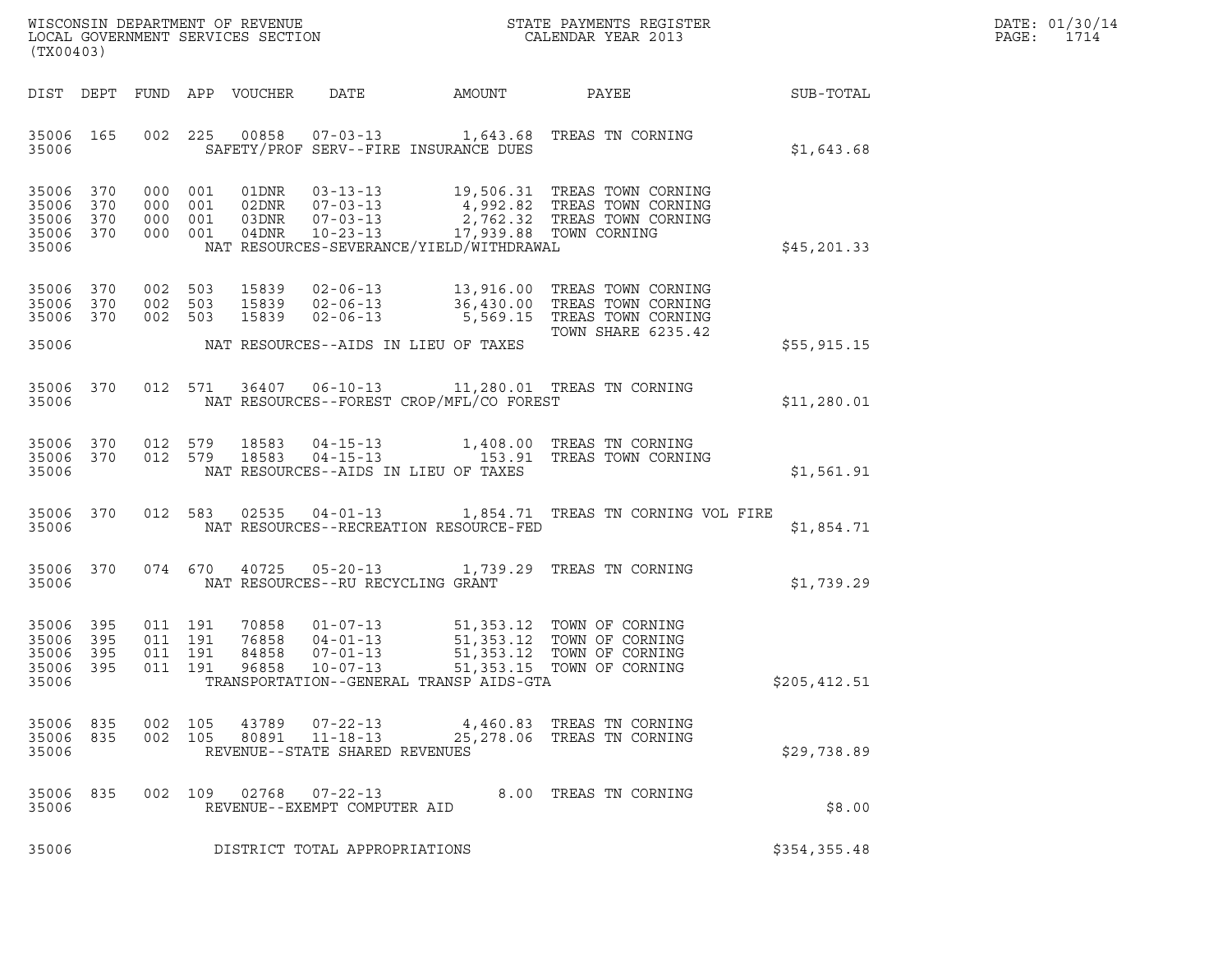|       | DATE: 01/30/14 |
|-------|----------------|
| PAGE: | 1714           |

| (TX00403)                                     |                            |                                          |                    |                                  |                                                        |                                                                                                                           |                                                                                                                                                              |                  | DATE: 01/30/14<br>PAGE:<br>1714 |
|-----------------------------------------------|----------------------------|------------------------------------------|--------------------|----------------------------------|--------------------------------------------------------|---------------------------------------------------------------------------------------------------------------------------|--------------------------------------------------------------------------------------------------------------------------------------------------------------|------------------|---------------------------------|
| DIST DEPT                                     |                            |                                          |                    | FUND APP VOUCHER                 | DATE                                                   | AMOUNT                                                                                                                    | PAYEE                                                                                                                                                        | <b>SUB-TOTAL</b> |                                 |
| 35006 165<br>35006                            |                            |                                          | 002 225            |                                  |                                                        | SAFETY/PROF SERV--FIRE INSURANCE DUES                                                                                     | 00858  07-03-13  1,643.68  TREAS TN CORNING                                                                                                                  | \$1,643.68       |                                 |
| 35006<br>35006<br>35006<br>35006 370<br>35006 | 370<br>370<br>370          | 000 001<br>000 001<br>000 001            | 000 001            |                                  |                                                        | 03DNR  07-03-13  2,762.32 TREAS TOWN COADNR  10-23-13  17,939.88 TOWN CORNING<br>NAT RESOURCES-SEVERANCE/YIELD/WITHDRAWAL | 01DNR  03-13-13  19,506.31 TREAS TOWN CORNING                                                                                                                | \$45,201.33      |                                 |
| 35006<br>35006 370<br>35006 370               | 370                        | 002 503<br>002 503<br>002 503            |                    | 15839                            | $02 - 06 - 13$                                         |                                                                                                                           | 15839  02-06-13   13,916.00 TREAS TOWN CORNING<br>15839  02-06-13   36,430.00 TREAS TOWN CORNING<br>5,569.15 TREAS TOWN CORNING<br><b>TOWN SHARE 6235.42</b> |                  |                                 |
| 35006                                         |                            |                                          |                    |                                  |                                                        | NAT RESOURCES--AIDS IN LIEU OF TAXES                                                                                      |                                                                                                                                                              | \$55,915.15      |                                 |
| 35006 370<br>35006                            |                            |                                          |                    |                                  |                                                        | NAT RESOURCES--FOREST CROP/MFL/CO FOREST                                                                                  | 012 571 36407 06-10-13 11,280.01 TREAS TN CORNING                                                                                                            | \$11,280.01      |                                 |
| 35006 370<br>35006 370<br>35006               |                            |                                          | 012 579<br>012 579 | 18583<br>18583                   |                                                        | NAT RESOURCES--AIDS IN LIEU OF TAXES                                                                                      | 04-15-13 1,408.00 TREAS TN CORNING<br>04-15-13 153.91 TREAS TOWN CORNING                                                                                     | \$1,561.91       |                                 |
| 35006<br>35006                                | 370                        | 012 583                                  |                    |                                  |                                                        | NAT RESOURCES--RECREATION RESOURCE-FED                                                                                    | 02535  04-01-13   1,854.71  TREAS TN CORNING VOL FIRE                                                                                                        | \$1,854.71       |                                 |
| 35006<br>35006                                | 370                        |                                          | 074 670            | 40725                            | NAT RESOURCES--RU RECYCLING GRANT                      |                                                                                                                           | 05-20-13 1,739.29 TREAS TN CORNING                                                                                                                           | \$1,739.29       |                                 |
| 35006<br>35006<br>35006<br>35006<br>35006     | 395<br>395<br>395<br>- 395 | 011 191<br>011 191<br>011 191<br>011 191 |                    | 70858<br>76858<br>84858<br>96858 | $07 - 01 - 13$<br>$10 - 07 - 13$                       | TRANSPORTATION--GENERAL TRANSP AIDS-GTA                                                                                   | 01-07-13 51,353.12 TOWN OF CORNING<br>04-01-13 51,353.12 TOWN OF CORNING<br>51,353.12 TOWN OF CORNING<br>51,353.15 TOWN OF CORNING                           | \$205,412.51     |                                 |
| 35006 835<br>35006 835<br>35006               |                            |                                          | 002 105            |                                  | REVENUE--STATE SHARED REVENUES                         |                                                                                                                           | 002 105 43789 07-22-13 4,460.83 TREAS TN CORNING<br>80891  11-18-13  25,278.06 TREAS TN CORNING                                                              | \$29,738.89      |                                 |
| 35006<br>35006                                | 835                        |                                          |                    |                                  | 002 109 02768 07-22-13<br>REVENUE--EXEMPT COMPUTER AID |                                                                                                                           | 8.00 TREAS TN CORNING                                                                                                                                        | \$8.00           |                                 |
| 35006                                         |                            |                                          |                    |                                  | DISTRICT TOTAL APPROPRIATIONS                          |                                                                                                                           |                                                                                                                                                              | \$354,355.48     |                                 |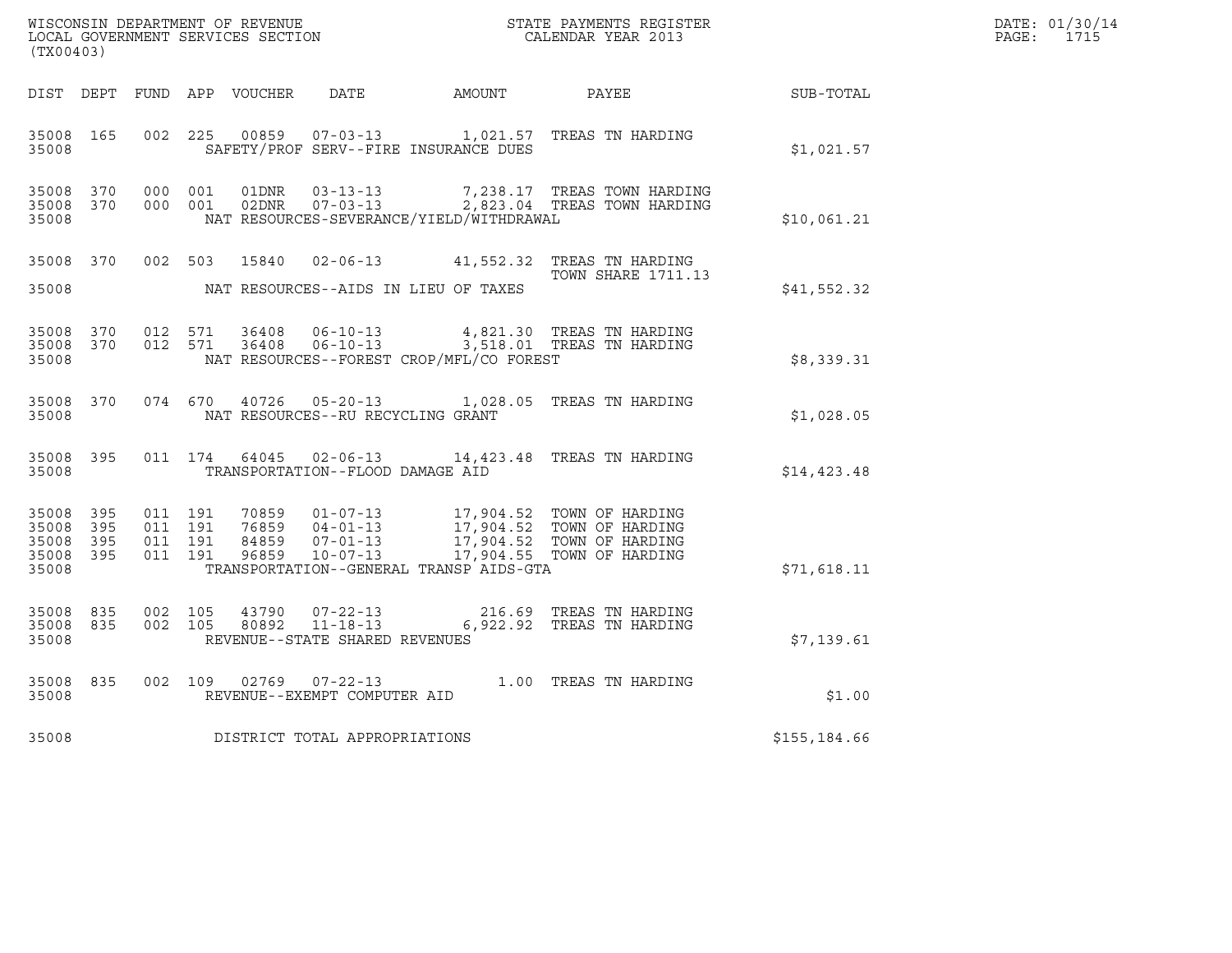| DATE: | 01/30/14 |
|-------|----------|
| PAGE: | 1715     |

| (TX00403)                                                 |                                                                                                                                                                                                                                                                                 |                                                                                      |              | DATE: 01/30/14<br>PAGE: 1715 |
|-----------------------------------------------------------|---------------------------------------------------------------------------------------------------------------------------------------------------------------------------------------------------------------------------------------------------------------------------------|--------------------------------------------------------------------------------------|--------------|------------------------------|
|                                                           | DIST DEPT FUND APP VOUCHER DATE AMOUNT PAYEE SUB-TOTAL                                                                                                                                                                                                                          |                                                                                      |              |                              |
| 35008 165<br>35008                                        | 002 225 00859 07-03-13 1,021.57 TREAS TN HARDING<br>SAFETY/PROF SERV--FIRE INSURANCE DUES                                                                                                                                                                                       |                                                                                      | \$1,021.57   |                              |
| 35008 370<br>35008 370<br>35008                           | 01DNR<br>000 001<br>000 001<br>NAT RESOURCES-SEVERANCE/YIELD/WITHDRAWAL                                                                                                                                                                                                         | 03-13-13 7,238.17 TREAS TOWN HARDING<br>02DNR  07-03-13  2,823.04 TREAS TOWN HARDING | \$10,061.21  |                              |
| 35008                                                     | 35008 370 002 503 15840 02-06-13 41,552.32 TREAS TN HARDING<br>NAT RESOURCES--AIDS IN LIEU OF TAXES                                                                                                                                                                             | <b>TOWN SHARE 1711.13</b>                                                            | \$41,552.32  |                              |
| 35008 370<br>35008 370<br>35008                           | 012 571 36408 06-10-13 4,821.30 TREAS TN HARDING<br>012 571 36408 06-10-13 3,518.01 TREAS TN HARDING<br>NAT RESOURCES--FOREST CROP/MFL/CO FOREST                                                                                                                                |                                                                                      | \$8,339.31   |                              |
| 35008 370<br>35008                                        | 074 670 40726 05-20-13 1,028.05 TREAS TN HARDING<br>NAT RESOURCES--RU RECYCLING GRANT                                                                                                                                                                                           |                                                                                      | \$1,028.05   |                              |
| 35008 395<br>35008                                        | 011 174 64045 02-06-13 14,423.48 TREAS TN HARDING<br>TRANSPORTATION--FLOOD DAMAGE AID                                                                                                                                                                                           |                                                                                      | \$14,423.48  |                              |
| 35008 395<br>35008 395<br>35008 395<br>35008 395<br>35008 | 011 191<br>70859  01-07-13  17,904.52  TOWN OF HARDING<br>76859  04-01-13  17,904.52  TOWN OF HARDING<br>84859  07-01-13  17,904.52  TOWN OF HARDING<br>96859  10-07-13  17,904.55  TOWN OF HARDING<br>011 191<br>011 191<br>011 191<br>TRANSPORTATION--GENERAL TRANSP AIDS-GTA |                                                                                      | \$71,618.11  |                              |
| 35008 835<br>35008 835<br>35008                           | 002 105<br>002 105<br>REVENUE--STATE SHARED REVENUES                                                                                                                                                                                                                            | 216.69 TREAS TN HARDING<br>6,922.92 TREAS TN HARDING                                 | \$7,139.61   |                              |
| 35008 835<br>35008                                        | 002 109 02769 07-22-13 1.00 TREAS TN HARDING<br>REVENUE--EXEMPT COMPUTER AID                                                                                                                                                                                                    |                                                                                      | \$1.00       |                              |
| 35008                                                     | DISTRICT TOTAL APPROPRIATIONS                                                                                                                                                                                                                                                   |                                                                                      | \$155,184.66 |                              |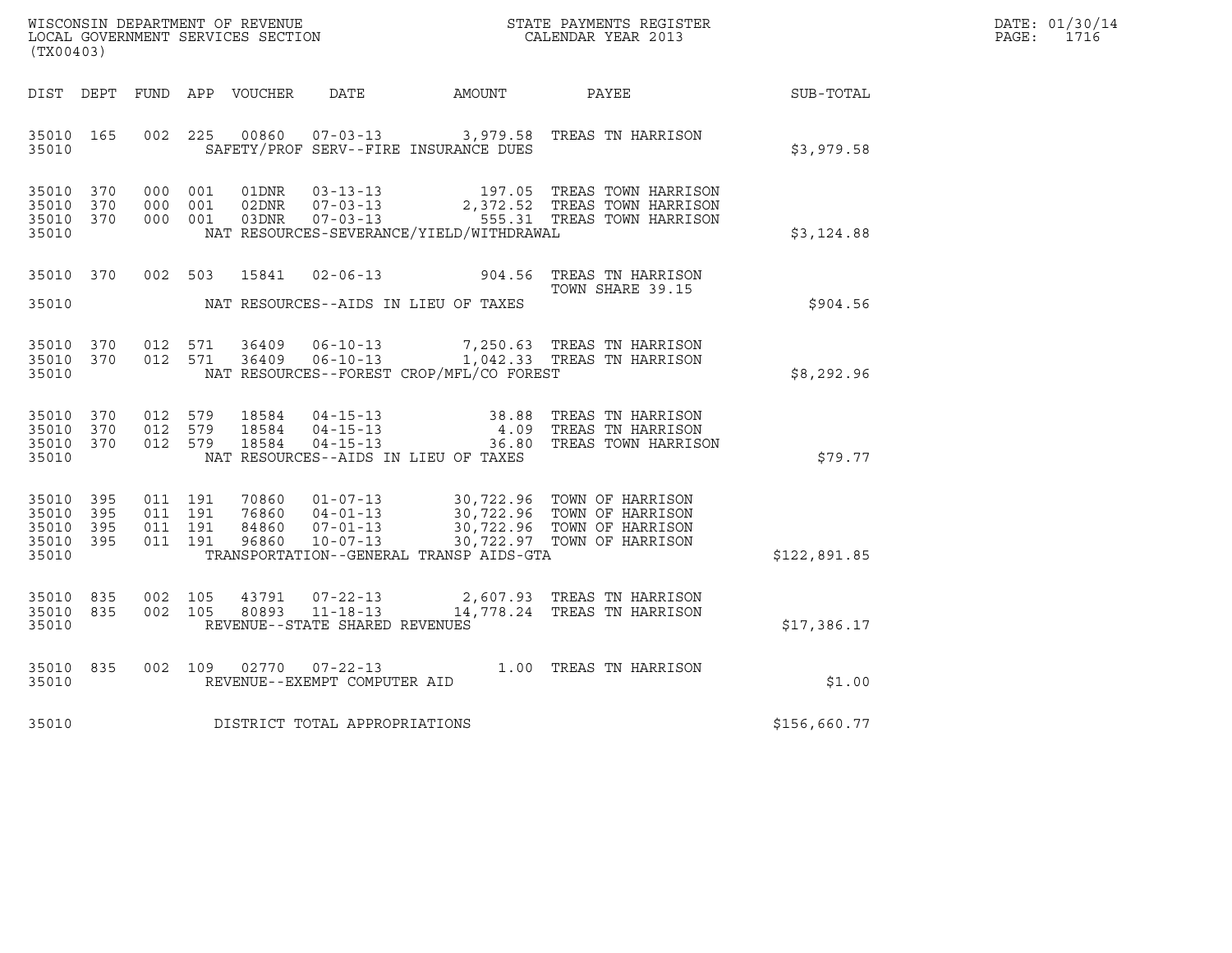| WISCONSIN DEPARTMENT OF REVENUE<br>LOCAL GOVERNMENT SERVICES SECTION | STATE PAYMENTS REGISTER<br>CALENDAR YEAR 2013 | DATE: 01/30/14<br>PAGE:<br>1716 |
|----------------------------------------------------------------------|-----------------------------------------------|---------------------------------|

| (TX00403)                                             |     |  |               |                                     |                                          |                                                                                                                                                                                                                  |              | DATE: 01/30/14<br>PAGE: 1716 |
|-------------------------------------------------------|-----|--|---------------|-------------------------------------|------------------------------------------|------------------------------------------------------------------------------------------------------------------------------------------------------------------------------------------------------------------|--------------|------------------------------|
|                                                       |     |  |               |                                     |                                          | DIST DEPT FUND APP VOUCHER DATE AMOUNT PAYEE SUB-TOTAL                                                                                                                                                           |              |                              |
| 35010 165<br>35010                                    |     |  |               |                                     | SAFETY/PROF SERV--FIRE INSURANCE DUES    | 002 225 00860 07-03-13 3,979.58 TREAS TN HARRISON                                                                                                                                                                | \$3,979.58   |                              |
| 35010 370<br>35010 370<br>35010 370<br>35010          |     |  |               |                                     | NAT RESOURCES-SEVERANCE/YIELD/WITHDRAWAL | 000 001 01DNR 03-13-13 197.05 TREAS TOWN HARRISON<br>000 001 02DNR 07-03-13 2,372.52 TREAS TOWN HARRISON<br>000 001 03DNR 07-03-13 555.31 TREAS TOWN HARRISON                                                    | \$3,124.88   |                              |
|                                                       |     |  |               |                                     |                                          | 35010 370 002 503 15841 02-06-13 904.56 TREAS TN HARRISON<br>TOWN SHARE 39.15                                                                                                                                    | \$904.56     |                              |
| 35010                                                 |     |  |               |                                     | NAT RESOURCES--FOREST CROP/MFL/CO FOREST | 35010 370 012 571 36409 06-10-13 7,250.63 TREAS TN HARRISON<br>35010 370 012 571 36409 06-10-13 1,042.33 TREAS TN HARRISON                                                                                       | \$8,292.96   |                              |
| 35010 370<br>35010 370<br>35010 370<br>35010          |     |  | 012 579 18584 |                                     | NAT RESOURCES--AIDS IN LIEU OF TAXES     | 012 579 18584 04-15-13 38.88 TREAS TN HARRISON<br>012 579 18584 04-15-13 4.09 TREAS TN HARRISON<br>012 579 18584 04-15-13 36.80 TREAS TOWN HARRISON                                                              | \$79.77      |                              |
| 35010 395<br>35010<br>35010 395<br>35010 395<br>35010 | 395 |  |               |                                     | TRANSPORTATION--GENERAL TRANSP AIDS-GTA  | 011 191 70860 01-07-13 30,722.96 TOWN OF HARRISON<br>011 191 76860 04-01-13 30,722.96 TOWN OF HARRISON<br>011 191 84860 07-01-13 30,722.96 TOWN OF HARRISON<br>011 191 96860 10-07-13 30,722.97 TOWN OF HARRISON | \$122,891.85 |                              |
| 35010 835<br>35010 835<br>35010                       |     |  |               | REVENUE--STATE SHARED REVENUES      |                                          | 002 105 43791 07-22-13 2,607.93 TREAS TN HARRISON<br>002 105 80893 11-18-13 14,778.24 TREAS TN HARRISON                                                                                                          | \$17,386.17  |                              |
| 35010 835<br>35010                                    |     |  |               | REVENUE--EXEMPT COMPUTER AID        |                                          | 002 109 02770 07-22-13 1.00 TREAS TN HARRISON                                                                                                                                                                    | \$1.00       |                              |
|                                                       |     |  |               | 35010 DISTRICT TOTAL APPROPRIATIONS |                                          |                                                                                                                                                                                                                  | \$156,660.77 |                              |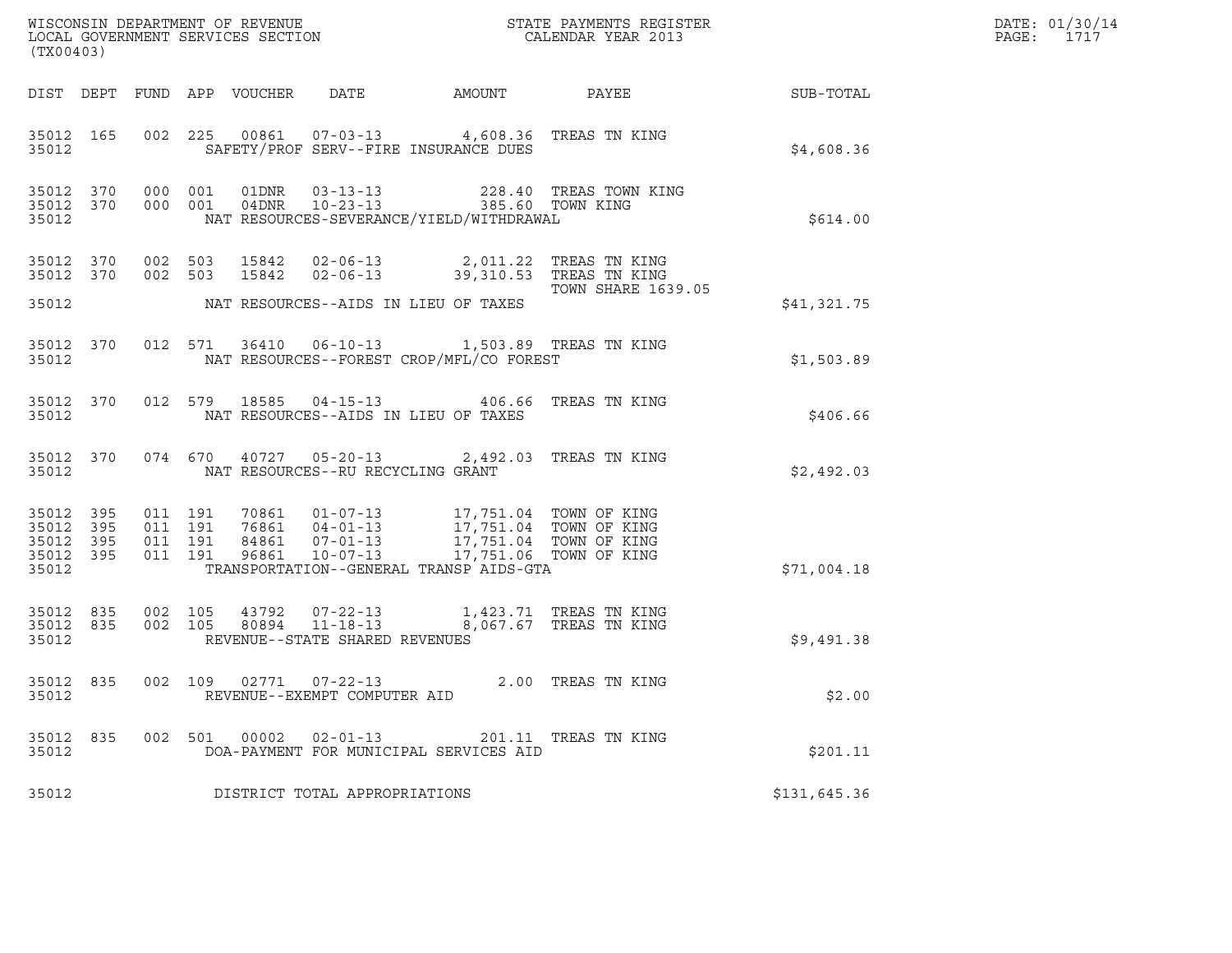| (TX00403)                                                 |                    |                    |                            |                                                        |                                                                                                                                                                             |                                            | DATE: 01/30/14<br>PAGE:<br>1717 |  |
|-----------------------------------------------------------|--------------------|--------------------|----------------------------|--------------------------------------------------------|-----------------------------------------------------------------------------------------------------------------------------------------------------------------------------|--------------------------------------------|---------------------------------|--|
|                                                           |                    |                    | DIST DEPT FUND APP VOUCHER | DATE                                                   | AMOUNT                                                                                                                                                                      | PAYEE                                      | SUB-TOTAL                       |  |
| 35012 165<br>35012                                        |                    |                    |                            |                                                        | 002 225 00861 07-03-13 4,608.36 TREAS TN KING<br>SAFETY/PROF SERV--FIRE INSURANCE DUES                                                                                      |                                            | \$4,608.36                      |  |
| 35012 370 000 001<br>35012 370<br>35012                   |                    | 000 001            |                            |                                                        | NAT RESOURCES-SEVERANCE/YIELD/WITHDRAWAL                                                                                                                                    | 228.40 TREAS TOWN KING<br>385.60 TOWN KING | \$614.00                        |  |
| 35012 370<br>35012 370                                    |                    | 002 503<br>002 503 |                            |                                                        |                                                                                                                                                                             |                                            |                                 |  |
| 35012                                                     |                    |                    |                            |                                                        | NAT RESOURCES--AIDS IN LIEU OF TAXES                                                                                                                                        | TOWN SHARE 1639.05                         | \$41,321.75                     |  |
| 35012 370<br>35012                                        |                    |                    |                            |                                                        | 012 571 36410 06-10-13 1,503.89 TREAS TN KING<br>NAT RESOURCES--FOREST CROP/MFL/CO FOREST                                                                                   |                                            | \$1,503.89                      |  |
| 35012 370<br>35012                                        |                    |                    |                            |                                                        | 012 579 18585 04-15-13 406.66 TREAS TN KING<br>NAT RESOURCES--AIDS IN LIEU OF TAXES                                                                                         |                                            | \$406.66                        |  |
| 35012 370<br>35012                                        |                    |                    |                            | NAT RESOURCES--RU RECYCLING GRANT                      | 074 670 40727 05-20-13 2,492.03 TREAS TN KING                                                                                                                               |                                            | \$2,492.03                      |  |
| 35012 395<br>35012 395<br>35012 395<br>35012 395<br>35012 | 011 191<br>011 191 | 011 191<br>011 191 | 96861                      | $10 - 07 - 13$                                         | 70861  01-07-13  17,751.04  TOWN OF KING<br>76861  04-01-13  17,751.04  TOWN OF KING<br>84861  07-01-13  17,751.04  TOWN OF KING<br>TRANSPORTATION--GENERAL TRANSP AIDS-GTA | 17,751.06 TOWN OF KING                     | \$71,004.18                     |  |
| 35012 835<br>35012 835<br>35012                           | 002 105            | 002 105            |                            | 80894  11-18-13<br>REVENUE--STATE SHARED REVENUES      | 43792  07-22-13   1,423.71   TREAS TN KING                                                                                                                                  | 8,067.67 TREAS TN KING                     | \$9,491.38                      |  |
| 35012 835<br>35012                                        |                    |                    |                            | 002 109 02771 07-22-13<br>REVENUE--EXEMPT COMPUTER AID |                                                                                                                                                                             | 2.00 TREAS TN KING                         | \$2.00                          |  |
| 35012 835<br>35012                                        |                    |                    |                            | 002 501 00002 02-01-13                                 | DOA-PAYMENT FOR MUNICIPAL SERVICES AID                                                                                                                                      | 201.11 TREAS TN KING                       | \$201.11                        |  |
| 35012                                                     |                    |                    |                            | DISTRICT TOTAL APPROPRIATIONS                          |                                                                                                                                                                             |                                            | \$131,645.36                    |  |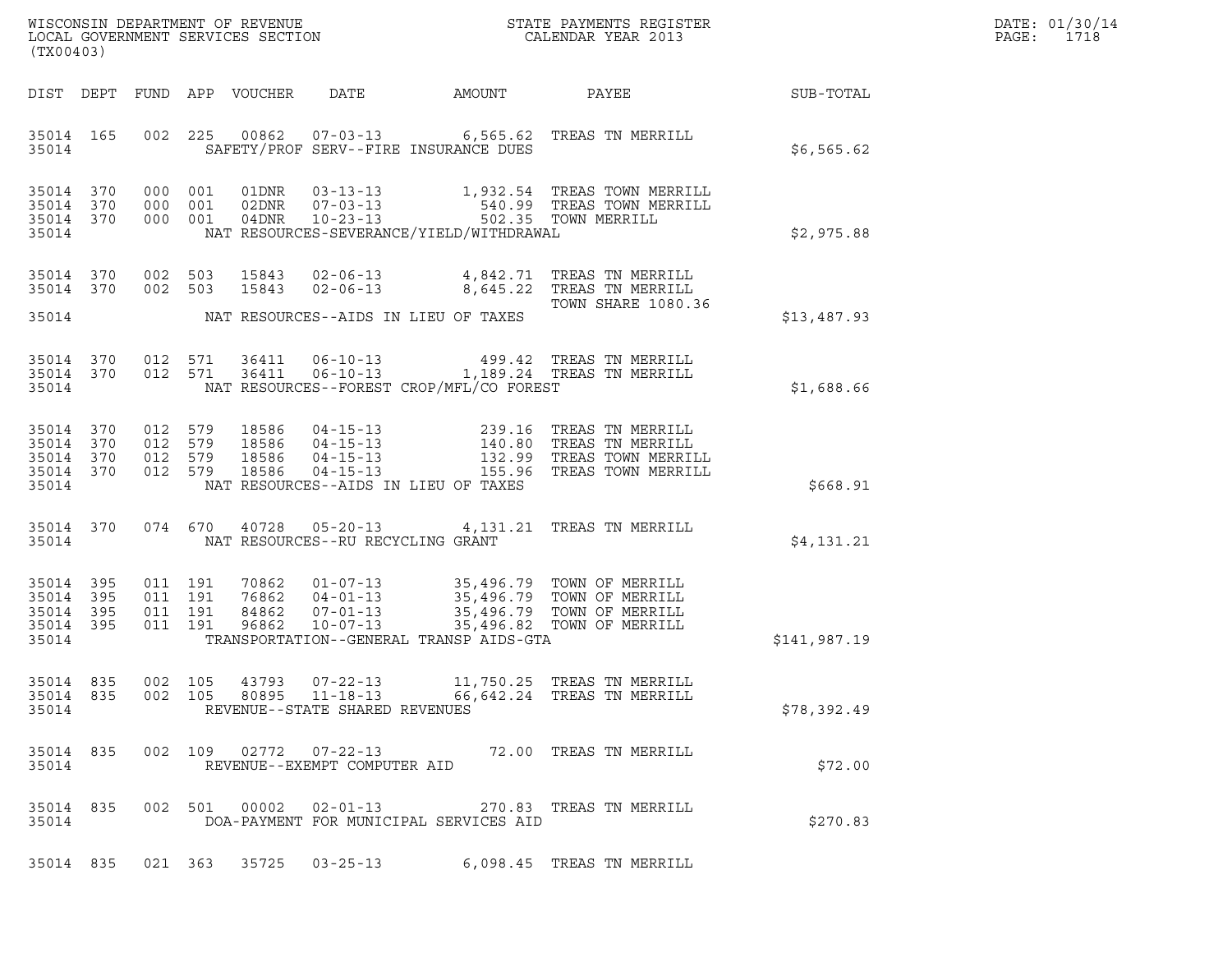| DATE: | 01/30/14 |
|-------|----------|
| PAGE: | 1718     |

|       | (TX00403)<br>DIST DEPT              |                               |               |                                                        |                                          |                                                                                                                                                                                          |              |  |  |  |
|-------|-------------------------------------|-------------------------------|---------------|--------------------------------------------------------|------------------------------------------|------------------------------------------------------------------------------------------------------------------------------------------------------------------------------------------|--------------|--|--|--|
|       |                                     |                               |               |                                                        |                                          |                                                                                                                                                                                          |              |  |  |  |
| 35014 | 35014 165                           |                               |               |                                                        | SAFETY/PROF SERV--FIRE INSURANCE DUES    | 002 225 00862 07-03-13 6,565.62 TREAS TN MERRILL                                                                                                                                         | \$6,565.62   |  |  |  |
|       | 35014 370<br>35014 370              |                               |               |                                                        |                                          | 000 001 01DNR 03-13-13 1,932.54 TREAS TOWN MERRILL<br>000 001 02DNR 07-03-13 540.99 TREAS TOWN MERRILL<br>000 001 04DNR 10-23-13 502.35 TOWN MERRILL                                     |              |  |  |  |
| 35014 | 35014 370                           |                               |               |                                                        | NAT RESOURCES-SEVERANCE/YIELD/WITHDRAWAL |                                                                                                                                                                                          | \$2,975.88   |  |  |  |
|       | 35014 370<br>35014 370              |                               |               |                                                        |                                          | 002 503 15843 02-06-13 4,842.71 TREAS TN MERRILL<br>002 503 15843 02-06-13 8,645.22 TREAS TN MERRILL                                                                                     |              |  |  |  |
|       | 35014                               |                               |               |                                                        | NAT RESOURCES--AIDS IN LIEU OF TAXES     | <b>TOWN SHARE 1080.36</b>                                                                                                                                                                | \$13,487.93  |  |  |  |
|       | 35014 370<br>35014 370<br>35014     |                               |               |                                                        | NAT RESOURCES--FOREST CROP/MFL/CO FOREST | 012 571 36411 06-10-13 499.42 TREAS TN MERRILL<br>012 571 36411 06-10-13 1,189.24 TREAS TN MERRILL                                                                                       | \$1,688.66   |  |  |  |
|       |                                     |                               |               |                                                        |                                          |                                                                                                                                                                                          |              |  |  |  |
|       | 35014 370<br>35014 370              | 012 579<br>012 579            |               |                                                        |                                          | 18586  04-15-13  239.16  TREAS TN MERRILL<br>18586  04-15-13  140.80  TREAS TN MERRILL<br>18586  04-15-13  132.99  TREAS TOWN MERRILL<br>18586  04-15-13  155.96  TREAS TOWN MERRILL     |              |  |  |  |
| 35014 | 35014 370<br>35014 370              | 012 579<br>012 579            |               |                                                        | NAT RESOURCES--AIDS IN LIEU OF TAXES     |                                                                                                                                                                                          | \$668.91     |  |  |  |
| 35014 | 35014 370                           |                               |               | NAT RESOURCES--RU RECYCLING GRANT                      |                                          | 074 670 40728 05-20-13 4,131.21 TREAS TN MERRILL                                                                                                                                         |              |  |  |  |
|       |                                     |                               |               |                                                        |                                          |                                                                                                                                                                                          | \$4,131.21   |  |  |  |
|       | 35014 395<br>35014 395<br>35014 395 | 011 191<br>011 191<br>011 191 |               |                                                        |                                          | 70862  01-07-13  35,496.79  TOWN OF MERRILL<br>76862  04-01-13  35,496.79  TOWN OF MERRILL<br>84862  07-01-13  35,496.79  TOWN OF MERRILL<br>96862  10-07-13  35,496.82  TOWN OF MERRILL |              |  |  |  |
| 35014 | 35014 395                           | 011 191                       |               |                                                        | TRANSPORTATION--GENERAL TRANSP AIDS-GTA  |                                                                                                                                                                                          | \$141,987.19 |  |  |  |
|       | 35014 835<br>35014 835              | 002 105<br>002 105            |               | 43793 07-22-13<br>80895 11-18-13                       |                                          | 11,750.25 TREAS TN MERRILL<br>66,642.24 TREAS TN MERRILL                                                                                                                                 |              |  |  |  |
| 35014 |                                     |                               |               | REVENUE--STATE SHARED REVENUES                         |                                          |                                                                                                                                                                                          | \$78,392.49  |  |  |  |
| 35014 | 35014 835                           |                               |               | 002 109 02772 07-22-13<br>REVENUE--EXEMPT COMPUTER AID |                                          | 72.00 TREAS TN MERRILL                                                                                                                                                                   | \$72.00      |  |  |  |
| 35014 | 35014 835                           |                               | 002 501 00002 | 02-01-13                                               | DOA-PAYMENT FOR MUNICIPAL SERVICES AID   | 270.83 TREAS TN MERRILL                                                                                                                                                                  | \$270.83     |  |  |  |
|       |                                     |                               |               |                                                        |                                          |                                                                                                                                                                                          |              |  |  |  |
|       | 35014 835                           |                               |               | 021 363 35725 03-25-13                                 |                                          | 6,098.45 TREAS TN MERRILL                                                                                                                                                                |              |  |  |  |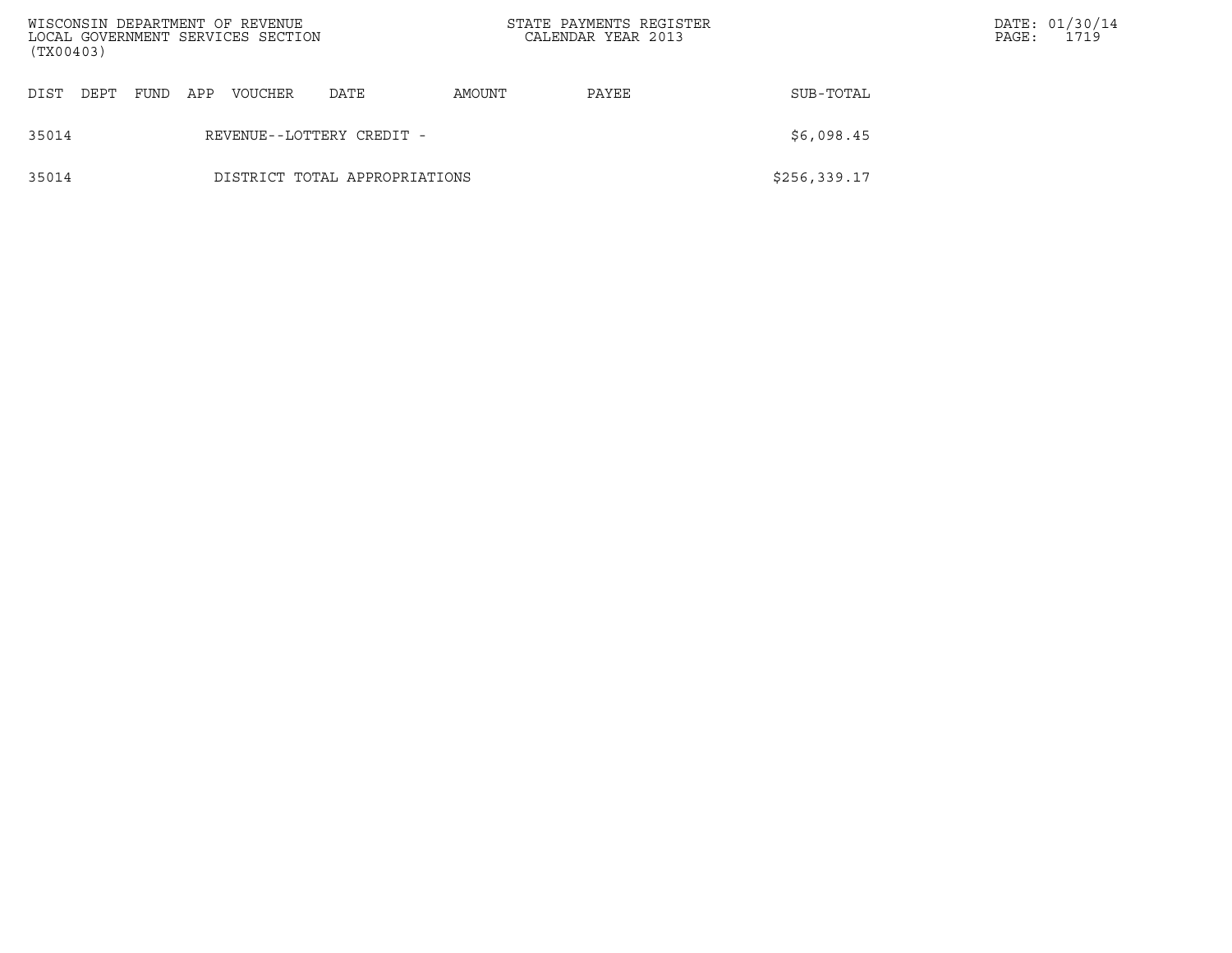| (TX00403) |      |      |     | WISCONSIN DEPARTMENT OF REVENUE<br>LOCAL GOVERNMENT SERVICES SECTION |                               | STATE PAYMENTS REGISTER<br>CALENDAR YEAR 2013 |       |               | PAGE: | DATE: 01/30/14<br>1719 |
|-----------|------|------|-----|----------------------------------------------------------------------|-------------------------------|-----------------------------------------------|-------|---------------|-------|------------------------|
| DIST      | DEPT | FUND | APP | <b>VOUCHER</b>                                                       | DATE                          | AMOUNT                                        | PAYEE | SUB-TOTAL     |       |                        |
| 35014     |      |      |     |                                                                      | REVENUE--LOTTERY CREDIT -     |                                               |       | \$6,098.45    |       |                        |
| 35014     |      |      |     |                                                                      | DISTRICT TOTAL APPROPRIATIONS |                                               |       | \$256, 339.17 |       |                        |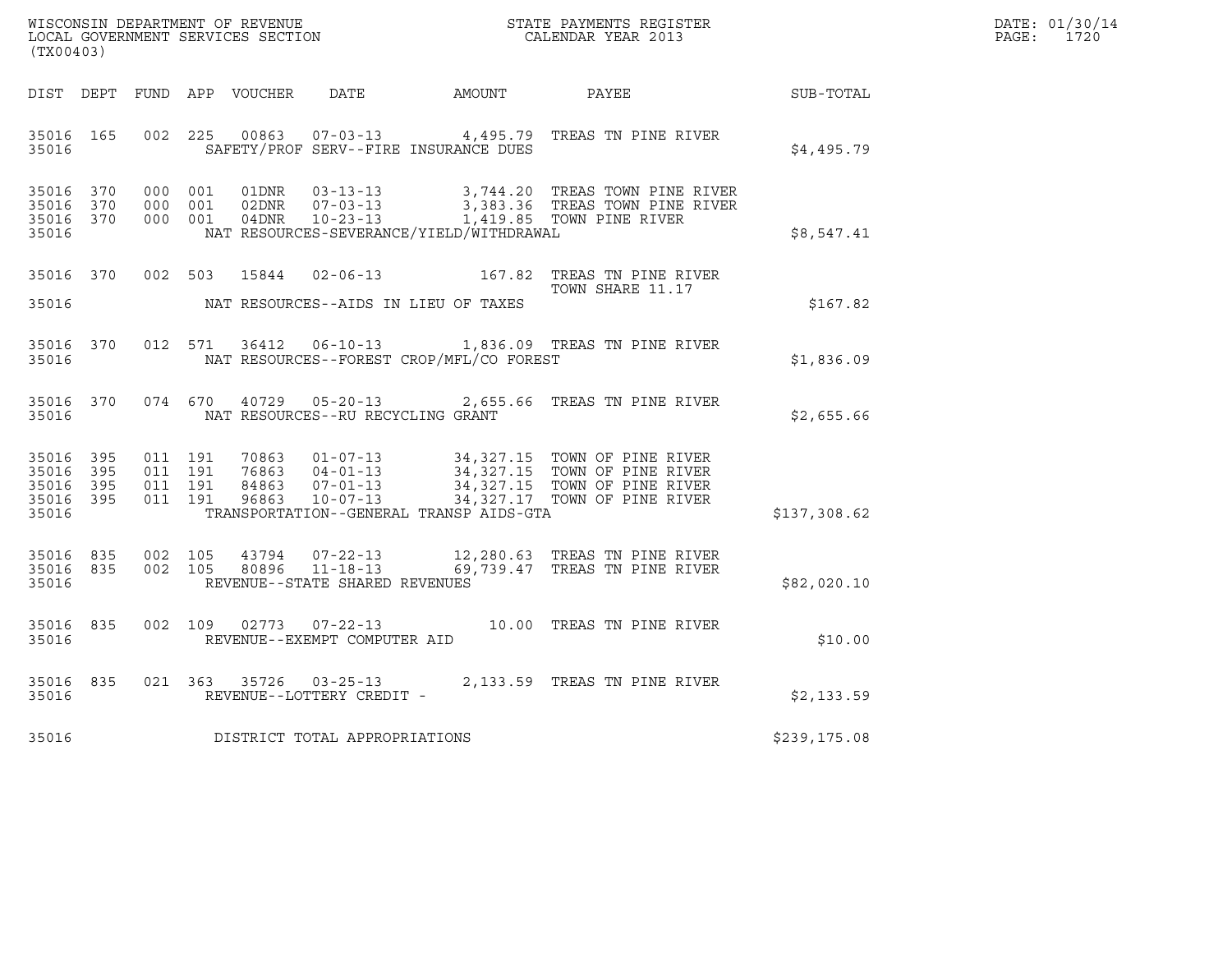| WISCONSIN DEPARTMENT OF REVENUE   | STATE PAYMENTS REGISTER | DATE: 01/30/14 |
|-----------------------------------|-------------------------|----------------|
| LOCAL GOVERNMENT SERVICES SECTION | CALENDAR YEAR 2013      | 1720<br>PAGE : |

| (TX00403)                                                 |  |  |  |  |                                         |                                             |                                                                                                                                                                                                                          | $\mathbb{R}^n$ | DATE: 01/30/14<br>PAGE: 1720 |
|-----------------------------------------------------------|--|--|--|--|-----------------------------------------|---------------------------------------------|--------------------------------------------------------------------------------------------------------------------------------------------------------------------------------------------------------------------------|----------------|------------------------------|
|                                                           |  |  |  |  |                                         |                                             | DIST DEPT FUND APP VOUCHER DATE AMOUNT PAYEE                                                                                                                                                                             | SUB-TOTAL      |                              |
|                                                           |  |  |  |  |                                         | 35016 SAFETY/PROF SERV--FIRE INSURANCE DUES | 35016 165 002 225 00863 07-03-13 4,495.79 TREAS TN PINE RIVER                                                                                                                                                            | \$4,495.79     |                              |
| 35016                                                     |  |  |  |  |                                         | NAT RESOURCES-SEVERANCE/YIELD/WITHDRAWAL    | 35016 370 000 001 01DNR 03-13-13 3,744.20 TREAS TOWN PINE RIVER<br>35016 370 000 001 02DNR 07-03-13 3,383.36 TREAS TOWN PINE RIVER<br>35016 370 000 001 04DNR 10-23-13 1,419.85 TOWN PINE RIVER                          | \$8,547.41     |                              |
|                                                           |  |  |  |  |                                         |                                             | 35016 370 002 503 15844 02-06-13 167.82 TREAS TN PINE RIVER<br>TOWN SHARE 11.17<br>TOWN SHARE 11.17                                                                                                                      | \$167.82       |                              |
|                                                           |  |  |  |  |                                         |                                             | 35016 370 012 571 36412 06-10-13 1,836.09 TREAS TN PINE RIVER<br>35016 NAT RESOURCES--FOREST CROP/MFL/CO FOREST                                                                                                          | \$1,836.09     |                              |
|                                                           |  |  |  |  | 35016 NAT RESOURCES--RU RECYCLING GRANT |                                             | 35016 370 074 670 40729 05-20-13 2,655.66 TREAS TN PINE RIVER                                                                                                                                                            | \$2,655.66     |                              |
| 35016 395<br>35016 395<br>35016 395<br>35016 395<br>35016 |  |  |  |  |                                         | TRANSPORTATION--GENERAL TRANSP AIDS-GTA     | 011 191 70863 01-07-13 34,327.15 TOWN OF PINE RIVER<br>011 191 76863 04-01-13 34,327.15 TOWN OF PINE RIVER<br>011 191 84863 07-01-13 34,327.15 TOWN OF PINE RIVER<br>011 191 96863 10-07-13 34,327.17 TOWN OF PINE RIVER | \$137,308.62   |                              |
| 35016                                                     |  |  |  |  | REVENUE--STATE SHARED REVENUES          |                                             | 35016 835 002 105 43794 07-22-13 12,280.63 TREAS TN PINE RIVER<br>35016 835 002 105 80896 11-18-13 69,739.47 TREAS TN PINE RIVER                                                                                         | \$82,020.10    |                              |
|                                                           |  |  |  |  |                                         |                                             | 35016 835 002 109 02773 07-22-13 10.00 TREAS TN PINE RIVER 35016 REVENUE--EXEMPT COMPUTER AID                                                                                                                            | \$10.00        |                              |
|                                                           |  |  |  |  | 35016 REVENUE--LOTTERY CREDIT           |                                             | 35016 835 021 363 35726 03-25-13 2,133.59 TREAS TN PINE RIVER                                                                                                                                                            | \$2,133.59     |                              |
|                                                           |  |  |  |  | 35016 DISTRICT TOTAL APPROPRIATIONS     |                                             |                                                                                                                                                                                                                          | \$239,175.08   |                              |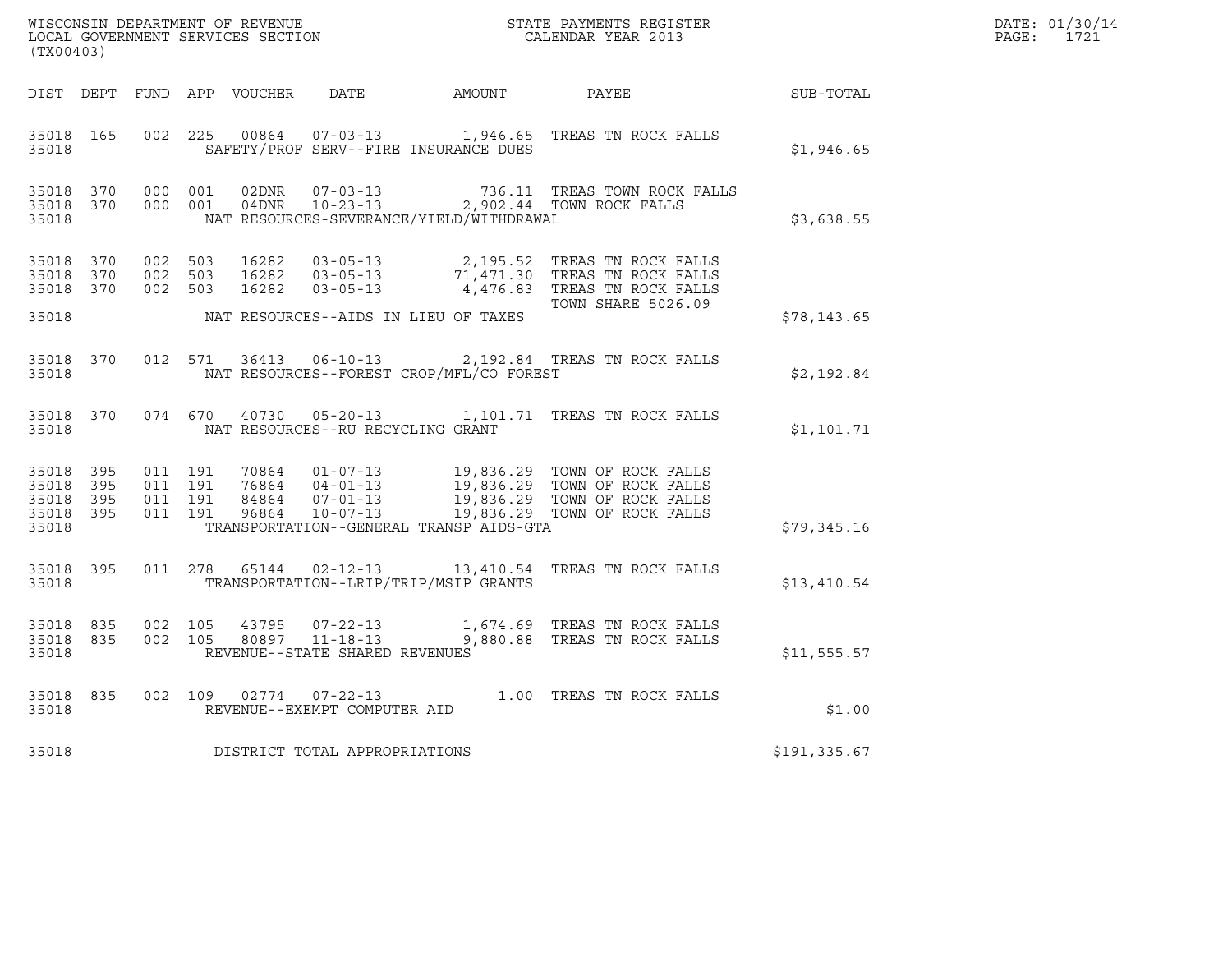| DATE: | 01/30/14 |
|-------|----------|
| PAGE: | 1721     |

| % WISCONSIN DEPARTMENT OF REVENUE $$\tt STATE$ PAYMENTS REGISTER LOCAL GOVERNMENT SERVICES SECTION $$\tt CALENDAR$ YEAR 2013<br>(TX00403) |                        |  |                                          |  |                                     |                                          |                                                                                                                                                                                                      |              | DATE: 01/30/14<br>PAGE: 1721 |
|-------------------------------------------------------------------------------------------------------------------------------------------|------------------------|--|------------------------------------------|--|-------------------------------------|------------------------------------------|------------------------------------------------------------------------------------------------------------------------------------------------------------------------------------------------------|--------------|------------------------------|
|                                                                                                                                           |                        |  |                                          |  |                                     |                                          | DIST DEPT FUND APP VOUCHER DATE AMOUNT PAYEE AT SUB-TOTAL                                                                                                                                            |              |                              |
|                                                                                                                                           | 35018 165<br>35018     |  |                                          |  |                                     | SAFETY/PROF SERV--FIRE INSURANCE DUES    | 002 225 00864 07-03-13 1,946.65 TREAS TN ROCK FALLS                                                                                                                                                  | \$1,946.65   |                              |
| 35018 370<br>35018                                                                                                                        | 35018 370              |  | 000 001<br>000 001                       |  |                                     | NAT RESOURCES-SEVERANCE/YIELD/WITHDRAWAL | $\begin{tabular}{llllll} 02DNR & 07-03-13 & 736.11 & TREAS TOWN ROCK \\ 04DNR & 10-23-13 & 2,902.44 TOWN ROCK FALSE \\ \end{tabular}$<br>736.11 TREAS TOWN ROCK FALLS                                | \$3,638.55   |                              |
| 35018 370                                                                                                                                 | 35018 370<br>35018 370 |  |                                          |  |                                     |                                          | 002 503 16282 03-05-13 2,195.52 TREAS TN ROCK FALLS<br>002 503 16282 03-05-13 71,471.30 TREAS TN ROCK FALLS<br>002 503 16282 03-05-13 4,476.83 TREAS TN ROCK FALLS                                   |              |                              |
|                                                                                                                                           | 35018                  |  |                                          |  |                                     | NAT RESOURCES--AIDS IN LIEU OF TAXES     | <b>TOWN SHARE 5026.09</b>                                                                                                                                                                            | \$78,143.65  |                              |
| 35018                                                                                                                                     | 35018 370              |  |                                          |  |                                     | NAT RESOURCES--FOREST CROP/MFL/CO FOREST | 012 571 36413 06-10-13 2,192.84 TREAS TN ROCK FALLS                                                                                                                                                  | \$2,192.84   |                              |
| 35018                                                                                                                                     | 35018 370              |  |                                          |  | NAT RESOURCES--RU RECYCLING GRANT   |                                          | 074 670 40730 05-20-13 1,101.71 TREAS TN ROCK FALLS                                                                                                                                                  | \$1,101.71   |                              |
| 35018 395<br>35018 395                                                                                                                    | 35018 395<br>35018 395 |  | 011 191<br>011 191<br>011 191<br>011 191 |  |                                     |                                          | 70864  01-07-13  19,836.29  TOWN OF ROCK FALLS<br>76864  04-01-13  19,836.29  TOWN OF ROCK FALLS<br>84864  07-01-13  19,836.29  TOWN OF ROCK FALLS<br>96864  10-07-13  19,836.29  TOWN OF ROCK FALLS |              |                              |
| 35018                                                                                                                                     |                        |  |                                          |  |                                     | TRANSPORTATION--GENERAL TRANSP AIDS-GTA  |                                                                                                                                                                                                      | \$79,345.16  |                              |
| 35018                                                                                                                                     | 35018 395              |  |                                          |  |                                     | TRANSPORTATION--LRIP/TRIP/MSIP GRANTS    | 011  278  65144  02-12-13  13,410.54  TREAS TN ROCK FALLS                                                                                                                                            | \$13,410.54  |                              |
| 35018                                                                                                                                     | 35018 835<br>35018 835 |  |                                          |  | REVENUE--STATE SHARED REVENUES      |                                          | 002 105  43795  07-22-13   1,674.69 TREAS TN ROCK FALLS<br>002  105  80897  11-18-13   9,880.88 TREAS TN ROCK FALLS                                                                                  | \$11,555.57  |                              |
|                                                                                                                                           | 35018 835              |  |                                          |  | 35018 REVENUE--EXEMPT COMPUTER AID  |                                          | 002 109 02774 07-22-13 1.00 TREAS TN ROCK FALLS                                                                                                                                                      | \$1.00       |                              |
|                                                                                                                                           |                        |  |                                          |  | 35018 DISTRICT TOTAL APPROPRIATIONS |                                          |                                                                                                                                                                                                      | \$191,335.67 |                              |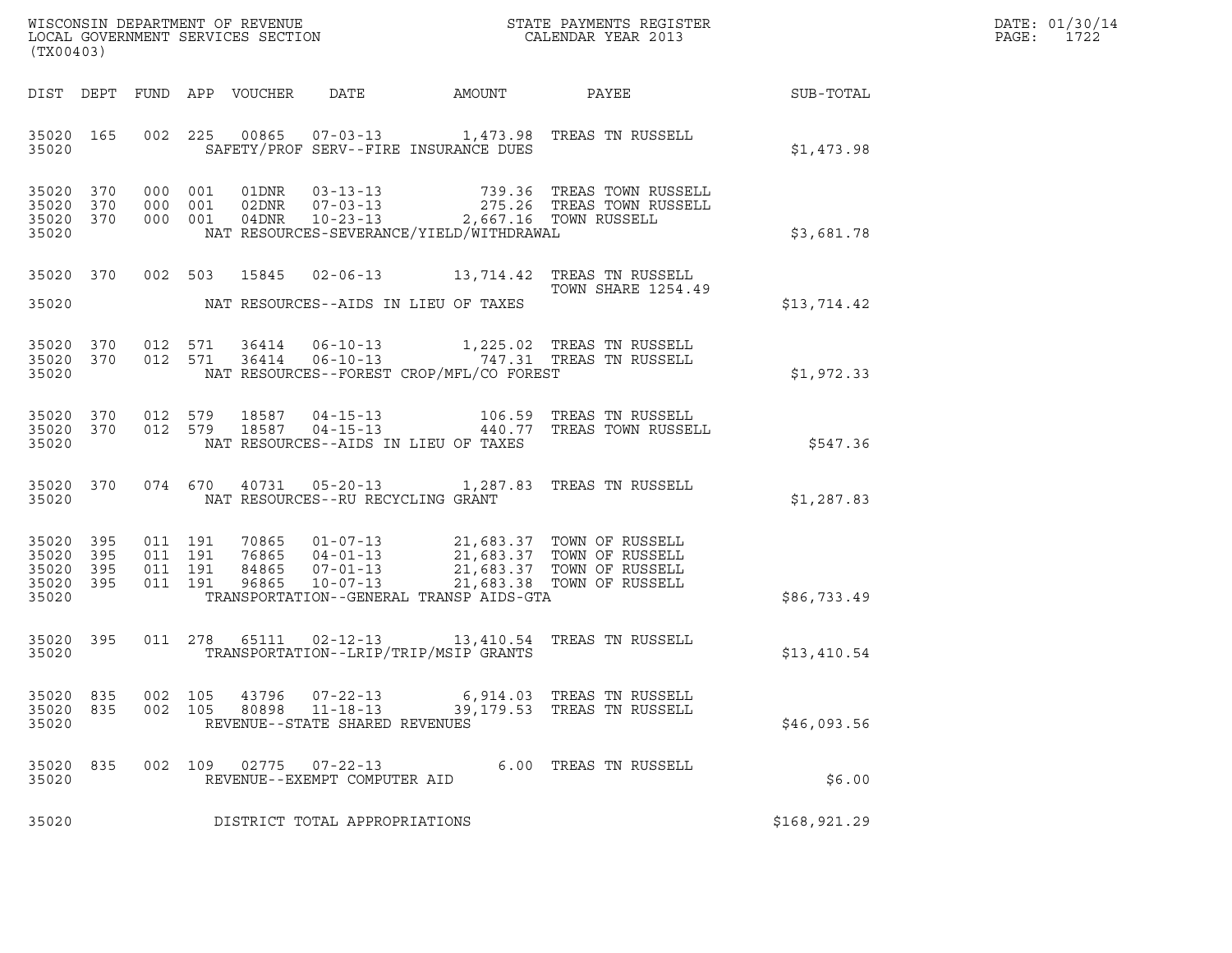| DATE: | 01/30/14 |
|-------|----------|
| PAGE: | 1722     |

| (TX00403)                                                 |            |            |                |                                                              |                                            |                                                                                                                                                                                                                                                                                                                    | DATE: 01/30/14<br>$\mathtt{PAGE}$ :<br>1722 |  |
|-----------------------------------------------------------|------------|------------|----------------|--------------------------------------------------------------|--------------------------------------------|--------------------------------------------------------------------------------------------------------------------------------------------------------------------------------------------------------------------------------------------------------------------------------------------------------------------|---------------------------------------------|--|
|                                                           |            |            |                |                                                              |                                            | DIST DEPT FUND APP VOUCHER DATE AMOUNT PAYEE THE SUB-TOTAL                                                                                                                                                                                                                                                         |                                             |  |
| 35020                                                     |            |            |                |                                                              | SAFETY/PROF SERV--FIRE INSURANCE DUES      | 35020 165 002 225 00865 07-03-13 1,473.98 TREAS TN RUSSELL                                                                                                                                                                                                                                                         | \$1,473.98                                  |  |
| 35020 370<br>35020 370<br>35020 370<br>35020              |            |            |                |                                                              | NAT RESOURCES-SEVERANCE/YIELD/WITHDRAWAL   | 000 001 01DNR 03-13-13 739.36 TREAS TOWN RUSSELL<br>000 001 02DNR 07-03-13 275.26 TREAS TOWN RUSSELL<br>000 001 04DNR 10-23-13 2,667.16 TOWN RUSSELL                                                                                                                                                               | \$3,681.78                                  |  |
|                                                           |            |            |                |                                                              | 35020 NAT RESOURCES--AIDS IN LIEU OF TAXES | 35020 370 002 503 15845 02-06-13 13,714.42 TREAS TN RUSSELL<br><b>TOWN SHARE 1254.49</b>                                                                                                                                                                                                                           | \$13,714.42                                 |  |
| 35020                                                     |            |            |                |                                                              | NAT RESOURCES--FOREST CROP/MFL/CO FOREST   | $\begin{array}{cccccc} 35020 & 370 & 012 & 571 & 36414 & 06-10-13 & & 1,225.02 & \text{TREAS TN RUSSELL} \\ 35020 & 370 & 012 & 571 & 36414 & 06-10-13 & & & 747.31 & \text{TREAS TN RUSSELL} \end{array}$                                                                                                         | \$1,972.33                                  |  |
|                                                           |            |            |                |                                                              | 35020 NAT RESOURCES--AIDS IN LIEU OF TAXES | 35020 370 012 579 18587 04-15-13 106.59 TREAS TN RUSSELL<br>35020 370 012 579 18587 04-15-13 440.77 TREAS TOWN RUSSELL                                                                                                                                                                                             | \$547.36                                    |  |
|                                                           |            |            |                |                                                              | 35020 NAT RESOURCES--RU RECYCLING GRANT    | 35020 370 074 670 40731 05-20-13 1,287.83 TREAS TN RUSSELL                                                                                                                                                                                                                                                         | \$1,287.83                                  |  |
| 35020 395<br>35020 395<br>35020 395<br>35020 395<br>35020 |            |            |                |                                                              | TRANSPORTATION--GENERAL TRANSP AIDS-GTA    | $\begin{array}{cccc} 011 & 191 & 70865 & 01-07-13 & 21,683.37 & \text{TOWN OF RUSSELL} \\ 011 & 191 & 76865 & 04-01-13 & 21,683.37 & \text{TOWN OF RUSSELL} \\ 011 & 191 & 84865 & 07-01-13 & 21,683.37 & \text{TOWN OF RUSSELL} \\ 011 & 191 & 96865 & 10-07-13 & 21,683.38 & \text{TOWN OF RUSSELL} \end{array}$ | \$86,733.49                                 |  |
| 35020 395<br>35020                                        |            |            |                |                                                              | TRANSPORTATION--LRIP/TRIP/MSIP GRANTS      | 011  278  65111  02-12-13  13,410.54  TREAS TN RUSSELL                                                                                                                                                                                                                                                             | \$13,410.54                                 |  |
| 35020<br>835<br>35020<br>835<br>35020                     | 002<br>002 | 105<br>105 | 43796<br>80898 | $07 - 22 - 13$<br>11-18-13<br>REVENUE--STATE SHARED REVENUES | 39,179.53                                  | 6,914.03 TREAS TN RUSSELL<br>TREAS TN RUSSELL                                                                                                                                                                                                                                                                      | \$46,093.56                                 |  |
| 35020<br>835<br>35020                                     |            |            | 002 109 02775  | $07 - 22 - 13$<br>REVENUE--EXEMPT COMPUTER AID               |                                            | 6.00 TREAS TN RUSSELL                                                                                                                                                                                                                                                                                              | \$6.00                                      |  |
| 35020                                                     |            |            |                | DISTRICT TOTAL APPROPRIATIONS                                |                                            |                                                                                                                                                                                                                                                                                                                    | \$168,921.29                                |  |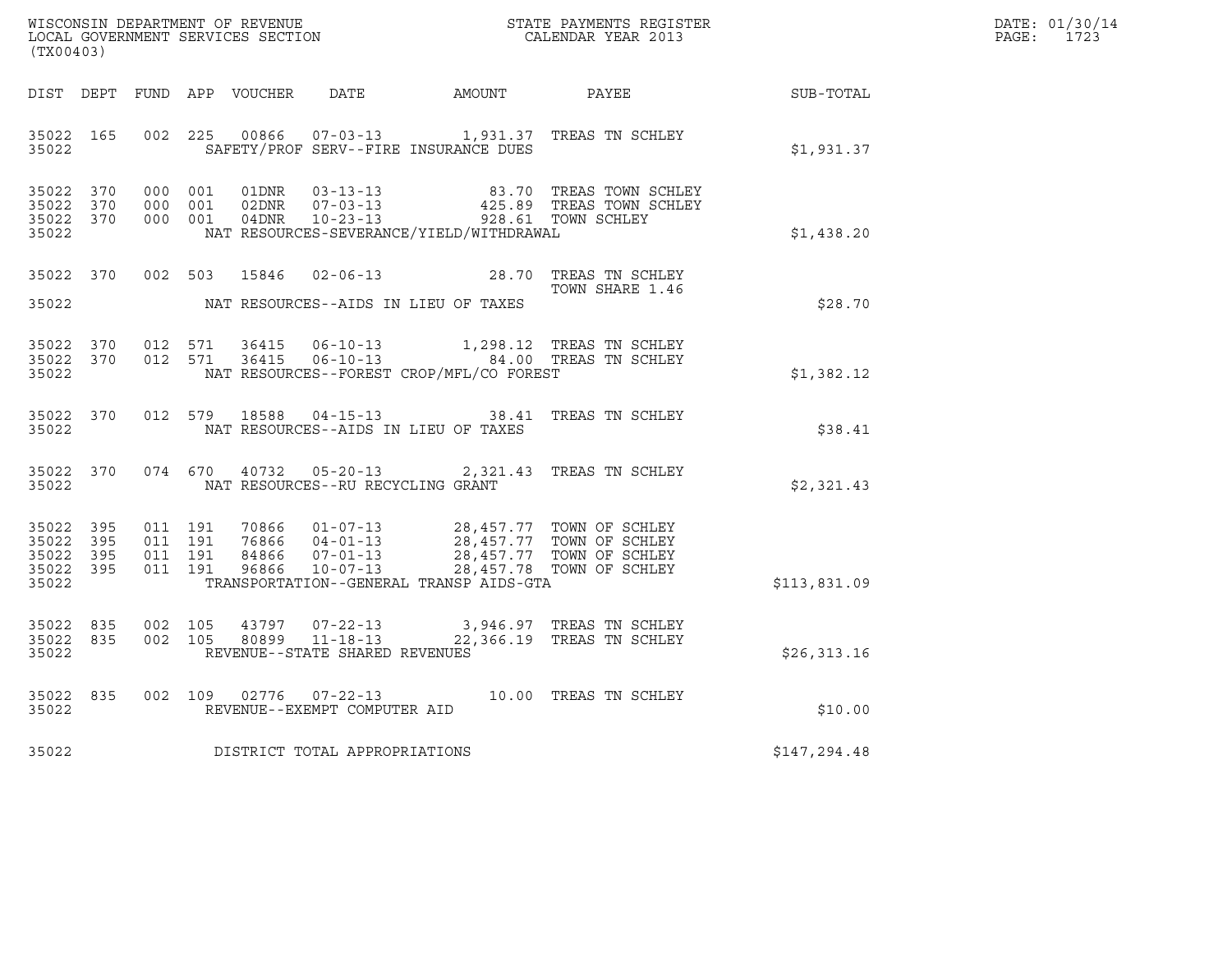| WISCONSIN DEPARTMENT OF REVENUE   | STATE PAYMENTS REGISTER | DATE: 01/30/14 |
|-----------------------------------|-------------------------|----------------|
| LOCAL GOVERNMENT SERVICES SECTION | CALENDAR YEAR 2013      | 1723<br>PAGE:  |

| (TX00403)                                                 |  |  |                                         |                                             | % WISCONSIN DEPARTMENT OF REVENUE $$\tt STATE$ PAYMENTS REGISTER LOCAL GOVERNMENT SERVICES SECTION $$\tt CALEINDAR$ YEAR 2013                                                                            | R                                                      | DATE: 01/30/14<br>PAGE: 1723 |
|-----------------------------------------------------------|--|--|-----------------------------------------|---------------------------------------------|----------------------------------------------------------------------------------------------------------------------------------------------------------------------------------------------------------|--------------------------------------------------------|------------------------------|
|                                                           |  |  |                                         |                                             |                                                                                                                                                                                                          | DIST DEPT FUND APP VOUCHER DATE AMOUNT PAYEE SUB-TOTAL |                              |
|                                                           |  |  |                                         | 35022 SAFETY/PROF SERV--FIRE INSURANCE DUES | 35022 165 002 225 00866 07-03-13 1,931.37 TREAS TN SCHLEY                                                                                                                                                | \$1,931.37                                             |                              |
| 35022 370<br>35022 370<br>35022 370<br>35022              |  |  |                                         | NAT RESOURCES-SEVERANCE/YIELD/WITHDRAWAL    | 000 001 01DNR 03-13-13 000 83.70 TREAS TOWN SCHLEY<br>000 001 02DNR 07-03-13 425.89 TREAS TOWN SCHLEY<br>000 001 04DNR 10-23-13 928.61 TOWN SCHLEY                                                       | \$1,438.20                                             |                              |
| 35022                                                     |  |  |                                         | NAT RESOURCES--AIDS IN LIEU OF TAXES        | 35022 370 002 503 15846 02-06-13 28.70 TREAS TN SCHLEY                                                                                                                                                   | \$28.70                                                |                              |
| 35022                                                     |  |  |                                         | NAT RESOURCES--FOREST CROP/MFL/CO FOREST    | 35022 370 012 571 36415 06-10-13 1,298.12 TREAS TN SCHLEY<br>35022 370 012 571 36415 06-10-13 84.00 TREAS TN SCHLEY                                                                                      | \$1,382.12                                             |                              |
| 35022                                                     |  |  |                                         | NAT RESOURCES--AIDS IN LIEU OF TAXES        | 35022 370 012 579 18588 04-15-13 38.41 TREAS TN SCHLEY                                                                                                                                                   | \$38.41                                                |                              |
|                                                           |  |  | 35022 NAT RESOURCES--RU RECYCLING GRANT |                                             | 35022 370 074 670 40732 05-20-13 2,321.43 TREAS TN SCHLEY                                                                                                                                                | \$2,321.43                                             |                              |
| 35022 395<br>35022 395<br>35022 395<br>35022 395<br>35022 |  |  |                                         | TRANSPORTATION--GENERAL TRANSP AIDS-GTA     | 011 191 70866 01-07-13 28,457.77 TOWN OF SCHLEY<br>011 191 76866 04-01-13 28,457.77 TOWN OF SCHLEY<br>011 191 84866 07-01-13 28,457.77 TOWN OF SCHLEY<br>011 191 96866 10-07-13 28,457.78 TOWN OF SCHLEY | \$113,831.09                                           |                              |
| 35022 835<br>35022 835<br>35022                           |  |  | REVENUE--STATE SHARED REVENUES          |                                             | 002 105 43797 07-22-13 3,946.97 TREAS TN SCHLEY<br>002 105 80899 11-18-13 22,366.19 TREAS TN SCHLEY                                                                                                      | \$26,313.16                                            |                              |
| 35022                                                     |  |  | REVENUE--EXEMPT COMPUTER AID            |                                             | 35022 835 002 109 02776 07-22-13 10.00 TREAS TN SCHLEY                                                                                                                                                   | \$10.00                                                |                              |
|                                                           |  |  | 35022 DISTRICT TOTAL APPROPRIATIONS     |                                             |                                                                                                                                                                                                          | \$147, 294.48                                          |                              |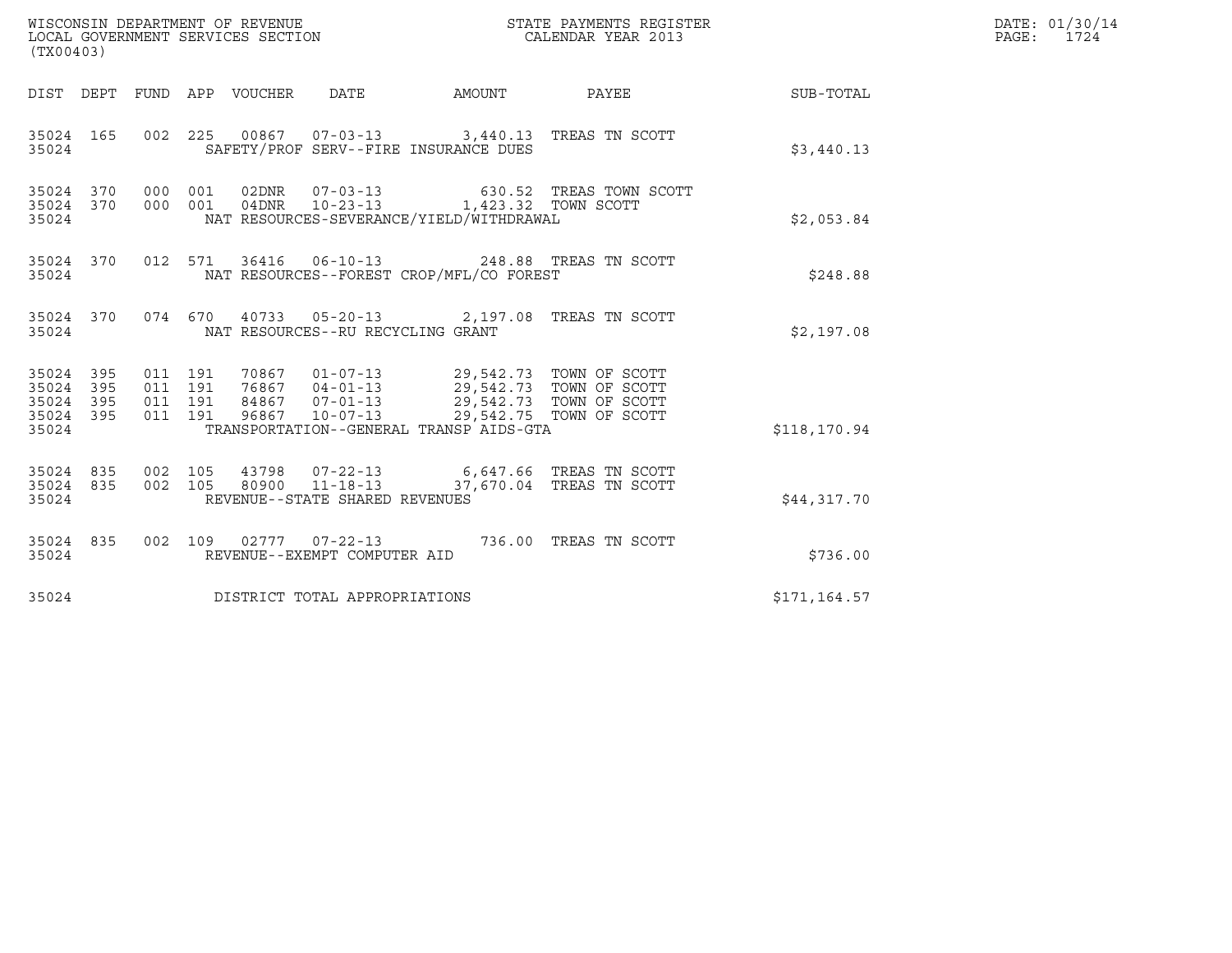| (TX00403)                                         |            |                                          |         | WISCONSIN DEPARTMENT OF REVENUE<br>LOCAL GOVERNMENT SERVICES SECTION |                                                        |                                                                                                                                                                                | STATE PAYMENTS REGISTER<br>CALENDAR YEAR 2013                                  |              | DATE: 01/30/14<br>PAGE: 1724 |
|---------------------------------------------------|------------|------------------------------------------|---------|----------------------------------------------------------------------|--------------------------------------------------------|--------------------------------------------------------------------------------------------------------------------------------------------------------------------------------|--------------------------------------------------------------------------------|--------------|------------------------------|
|                                                   |            |                                          |         |                                                                      |                                                        |                                                                                                                                                                                | DIST DEPT FUND APP VOUCHER DATE AMOUNT PAYEE THE SUB-TOTAL                     |              |                              |
| 35024 165<br>35024                                |            |                                          |         |                                                                      |                                                        | 002 225 00867 07-03-13 3,440.13 TREAS TN SCOTT<br>SAFETY/PROF SERV--FIRE INSURANCE DUES                                                                                        |                                                                                | \$3,440.13   |                              |
| 35024 370 000 001<br>35024 370<br>35024           |            |                                          | 000 001 |                                                                      |                                                        | NAT RESOURCES-SEVERANCE/YIELD/WITHDRAWAL                                                                                                                                       | 02DNR  07-03-13  630.52 TREAS TOWN SCOTT  04DNR  10-23-13  1,423.32 TOWN SCOTT | \$2,053.84   |                              |
| 35024                                             |            |                                          |         |                                                                      |                                                        | 35024 370 012 571 36416 06-10-13 248.88 TREAS TN SCOTT<br>NAT RESOURCES--FOREST CROP/MFL/CO FOREST                                                                             |                                                                                | \$248.88     |                              |
| 35024 370<br>35024                                |            |                                          |         |                                                                      | NAT RESOURCES--RU RECYCLING GRANT                      | 074 670 40733 05-20-13 2,197.08 TREAS TN SCOTT                                                                                                                                 |                                                                                | \$2,197.08   |                              |
| 35024 395<br>35024<br>35024 395<br>35024<br>35024 | 395<br>395 | 011 191<br>011 191<br>011 191<br>011 191 |         | 96867                                                                | $10 - 07 - 13$                                         | 70867  01-07-13  29,542.73  TOWN OF SCOTT<br>76867  04-01-13  29,542.73  TOWN OF SCOTT<br>84867  07-01-13  29,542.73  TOWN OF SCOTT<br>TRANSPORTATION--GENERAL TRANSP AIDS-GTA | 29,542.75 TOWN OF SCOTT                                                        | \$118,170.94 |                              |
| 35024 835 002 105<br>35024 835<br>35024           |            | 002 105                                  |         |                                                                      | 80900 11-18-13<br>REVENUE--STATE SHARED REVENUES       |                                                                                                                                                                                | 37,670.04 TREAS TN SCOTT                                                       | \$44,317.70  |                              |
| 35024 835<br>35024                                |            |                                          |         |                                                                      | 002 109 02777 07-22-13<br>REVENUE--EXEMPT COMPUTER AID |                                                                                                                                                                                | 736.00 TREAS TN SCOTT                                                          | \$736.00     |                              |
| 35024                                             |            |                                          |         |                                                                      | DISTRICT TOTAL APPROPRIATIONS                          |                                                                                                                                                                                |                                                                                | \$171,164.57 |                              |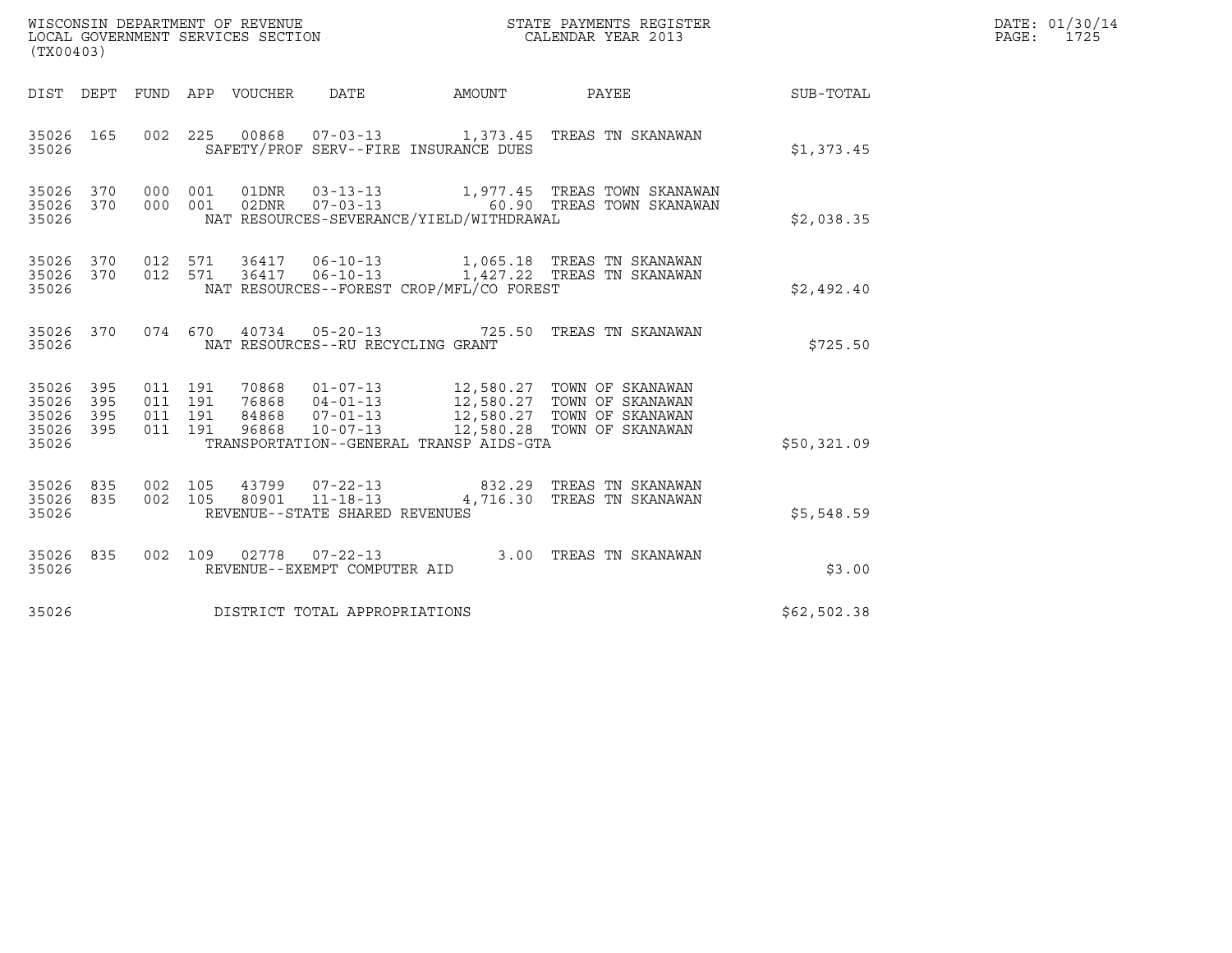| (TX00403)                                     |                   |                               |         |                                 | WISCONSIN DEPARTMENT OF REVENUE<br>LOCAL GOVERNMENT SERVICES SECTION |                                          | STATE PAYMENTS REGISTER<br>CALENDAR YEAR 2013                                                                                                                                                                                                                          |             | DATE: 01/30/14<br>PAGE: 1725 |
|-----------------------------------------------|-------------------|-------------------------------|---------|---------------------------------|----------------------------------------------------------------------|------------------------------------------|------------------------------------------------------------------------------------------------------------------------------------------------------------------------------------------------------------------------------------------------------------------------|-------------|------------------------------|
|                                               |                   |                               |         | DIST DEPT FUND APP VOUCHER DATE |                                                                      | AMOUNT PAYEE                             |                                                                                                                                                                                                                                                                        | SUB-TOTAL   |                              |
| 35026 165<br>35026                            |                   |                               |         |                                 |                                                                      | SAFETY/PROF SERV--FIRE INSURANCE DUES    | 002  225  00868  07-03-13   1,373.45  TREAS TN SKANAWAN                                                                                                                                                                                                                | \$1,373.45  |                              |
| 35026<br>35026<br>35026                       | 370<br>370        | 000 001                       | 000 001 |                                 |                                                                      | NAT RESOURCES-SEVERANCE/YIELD/WITHDRAWAL | 01DNR  03-13-13   1,977.45 TREAS TOWN SKANAWAN<br>02DNR  07-03-13    60.90 TREAS TOWN SKANAWAN                                                                                                                                                                         | \$2,038.35  |                              |
| 35026 370<br>35026                            |                   |                               |         |                                 |                                                                      | NAT RESOURCES--FOREST CROP/MFL/CO FOREST | 35026 370 012 571 36417 06-10-13 1,065.18 TREAS TN SKANAWAN<br>012 571 36417 06-10-13 1,427.22 TREAS TN SKANAWAN                                                                                                                                                       | \$2,492.40  |                              |
| 35026 370<br>35026                            |                   |                               |         |                                 | NAT RESOURCES--RU RECYCLING GRANT                                    |                                          | 074 670 40734 05-20-13 725.50 TREAS TN SKANAWAN                                                                                                                                                                                                                        | \$725.50    |                              |
| 35026 395<br>35026<br>35026<br>35026<br>35026 | 395<br>395<br>395 | 011 191<br>011 191<br>011 191 | 011 191 |                                 |                                                                      | TRANSPORTATION--GENERAL TRANSP AIDS-GTA  | $\begin{tabular}{lllllllllllllllllllll} \hline 70868 & 01-07-13 & 12,580.27 & TOWN OF SKANAWAN \\ 76868 & 04-01-13 & 12,580.27 & TOWN OF SKANAWAN \\ 84868 & 07-01-13 & 12,580.27 & TOWN OF SKANAWAN \\ 96868 & 10-07-13 & 12,580.28 & TOWN OF SKANAWAN \end{tabular}$ | \$50,321.09 |                              |
| 35026<br>35026<br>35026                       | 835<br>835        | 002 105                       | 002 105 |                                 | REVENUE--STATE SHARED REVENUES                                       |                                          | 43799  07-22-13  832.29  TREAS TN SKANAWAN<br>80901  11-18-13  4,716.30 TREAS TN SKANAWAN                                                                                                                                                                              | \$5,548.59  |                              |
| 35026 835<br>35026                            |                   |                               |         |                                 | REVENUE--EXEMPT COMPUTER AID                                         |                                          | 002 109 02778 07-22-13 3.00 TREAS TN SKANAWAN                                                                                                                                                                                                                          | \$3.00      |                              |
| 35026                                         |                   |                               |         |                                 | DISTRICT TOTAL APPROPRIATIONS                                        |                                          |                                                                                                                                                                                                                                                                        | \$62,502.38 |                              |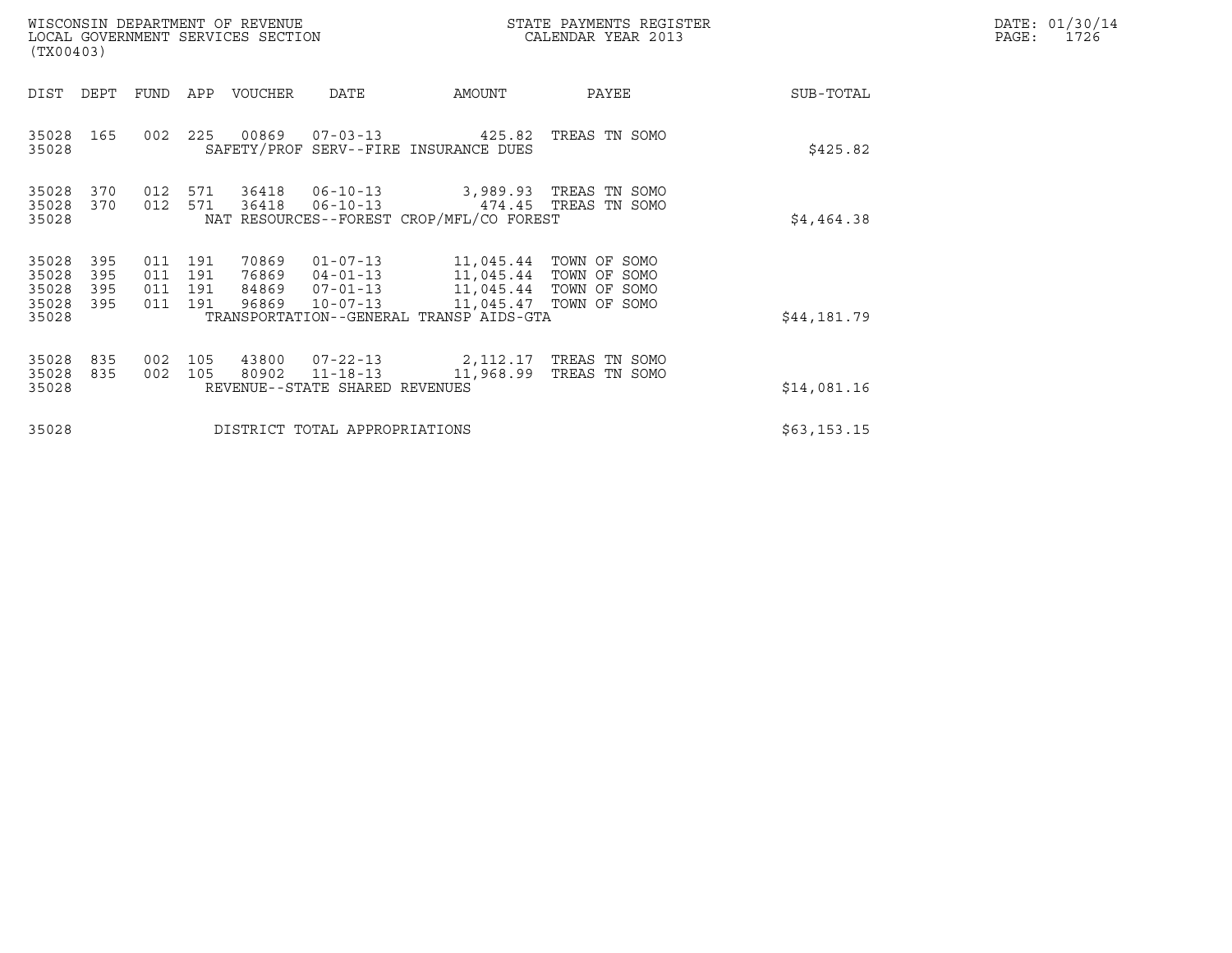| (TX00403)                                 |                          |                                  |            | WISCONSIN DEPARTMENT OF REVENUE<br>LOCAL GOVERNMENT SERVICES SECTION |                                                                                             |                                                                                                                       | STATE PAYMENTS REGISTER<br>CALENDAR YEAR 2013 |             | DATE: 01/30/14<br>PAGE:<br>1726 |
|-------------------------------------------|--------------------------|----------------------------------|------------|----------------------------------------------------------------------|---------------------------------------------------------------------------------------------|-----------------------------------------------------------------------------------------------------------------------|-----------------------------------------------|-------------|---------------------------------|
| DIST                                      | DEPT                     | FUND                             | APP        | VOUCHER                                                              | DATE                                                                                        | AMOUNT                                                                                                                | PAYEE                                         | SUB-TOTAL   |                                 |
| 35028<br>35028                            | 165                      | 002                              | 225        |                                                                      |                                                                                             | 00869  07-03-13  425.82<br>SAFETY/PROF SERV--FIRE INSURANCE DUES                                                      | TREAS TN SOMO                                 | \$425.82    |                                 |
| 35028<br>35028<br>35028                   | 370<br>370               | 012<br>012                       | 571<br>571 | 36418                                                                | 36418 06-10-13<br>06-10-13 474.45 TREAS TN SOMO<br>NAT RESOURCES--FOREST CROP/MFL/CO FOREST | \$4,464.38                                                                                                            |                                               |             |                                 |
| 35028<br>35028<br>35028<br>35028<br>35028 | 395<br>395<br>395<br>395 | 011 191<br>011<br>011<br>011 191 | 191<br>191 | 70869<br>76869<br>84869<br>96869                                     | $01 - 07 - 13$<br>$04 - 01 - 13$<br>$07 - 01 - 13$<br>$10 - 07 - 13$                        | 11,045.44 TOWN OF SOMO<br>11,045.44 TOWN OF SOMO<br>11,045.44 TOWN OF SOMO<br>TRANSPORTATION--GENERAL TRANSP AIDS-GTA | 11,045.47 TOWN OF SOMO                        | \$44,181.79 |                                 |
| 35028<br>35028<br>35028                   | 835<br>835               | 002<br>002                       | 105<br>105 | 43800<br>80902                                                       | $07 - 22 - 13$<br>$11 - 18 - 13$<br>REVENUE--STATE SHARED REVENUES                          | \$14,081.16                                                                                                           |                                               |             |                                 |
| 35028                                     |                          |                                  |            |                                                                      | DISTRICT TOTAL APPROPRIATIONS                                                               | \$63,153.15                                                                                                           |                                               |             |                                 |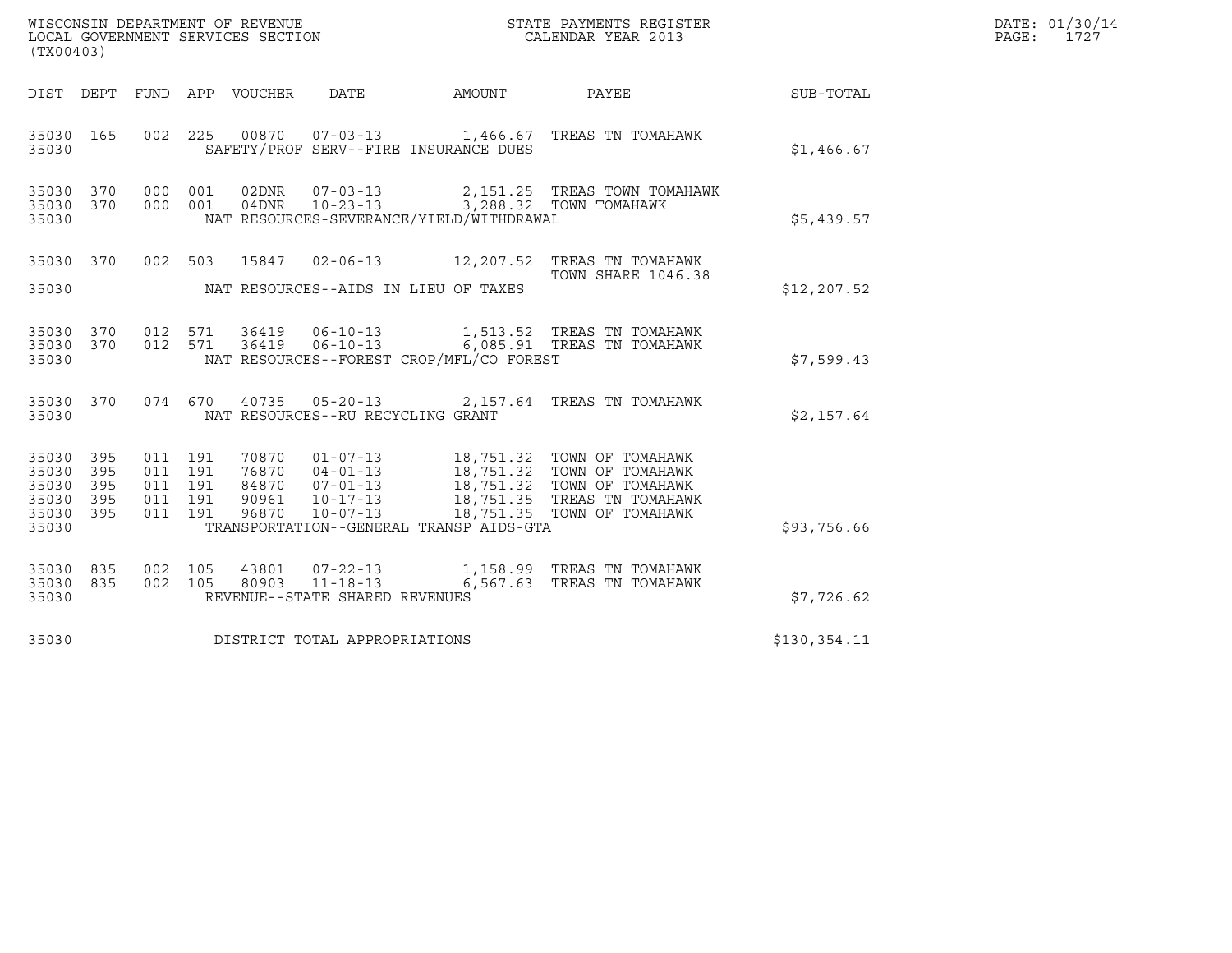| WISCONSIN DEPARTMENT OF REVENUE   | STATE PAYMENTS REGISTER | DATE: 01/30/14 |
|-----------------------------------|-------------------------|----------------|
| LOCAL GOVERNMENT SERVICES SECTION | CALENDAR YEAR 2013      | 1727<br>PAGE:  |

|                                                                        | WISCONSIN DEPARTMENT OF REVENUE<br>LOCAL GOVERNMENT SERVICES SECTION TERMS CONFIDENT SERVICES SECTION CALENDAR YEAR 2013<br>(TX00403) |  |  |  |                                         |                                            |                                                                                                        |              | DATE: 01/30/14<br>PAGE: 1727 |
|------------------------------------------------------------------------|---------------------------------------------------------------------------------------------------------------------------------------|--|--|--|-----------------------------------------|--------------------------------------------|--------------------------------------------------------------------------------------------------------|--------------|------------------------------|
|                                                                        |                                                                                                                                       |  |  |  |                                         |                                            | DIST DEPT FUND APP VOUCHER DATE AMOUNT PAYEE SUB-TOTAL                                                 |              |                              |
| 35030 165<br>35030                                                     |                                                                                                                                       |  |  |  |                                         | SAFETY/PROF SERV--FIRE INSURANCE DUES      | 002 225 00870 07-03-13 1,466.67 TREAS TN TOMAHAWK                                                      | \$1,466.67   |                              |
| 35030 370<br>35030 370<br>35030                                        |                                                                                                                                       |  |  |  |                                         | NAT RESOURCES-SEVERANCE/YIELD/WITHDRAWAL   | 000 001 02DNR 07-03-13 2,151.25 TREAS TOWN TOMAHAWK<br>000 001 04DNR 10-23-13 3,288.32 TOWN TOMAHAWK   | \$5,439.57   |                              |
|                                                                        |                                                                                                                                       |  |  |  |                                         | 35030 NAT RESOURCES--AIDS IN LIEU OF TAXES | 35030 370 002 503 15847 02-06-13 12,207.52 TREAS TN TOMAHAWK<br>TOWN SHARE 1046.38                     | \$12, 207.52 |                              |
| 35030 370<br>35030 370<br>35030                                        |                                                                                                                                       |  |  |  |                                         | NAT RESOURCES--FOREST CROP/MFL/CO FOREST   | 012 571 36419 06-10-13 1,513.52 TREAS TN TOMAHAWK<br>012 571 36419 06-10-13 6,085.91 TREAS TN TOMAHAWK | \$7,599.43   |                              |
|                                                                        |                                                                                                                                       |  |  |  | 35030 NAT RESOURCES--RU RECYCLING GRANT |                                            | 35030 370 074 670 40735 05-20-13 2,157.64 TREAS TN TOMAHAWK                                            | \$2,157.64   |                              |
| 35030 395<br>35030 395<br>35030 395<br>35030 395<br>35030 395<br>35030 |                                                                                                                                       |  |  |  |                                         | TRANSPORTATION--GENERAL TRANSP AIDS-GTA    |                                                                                                        | \$93,756.66  |                              |
| 35030 835<br>35030 835<br>35030                                        |                                                                                                                                       |  |  |  | REVENUE--STATE SHARED REVENUES          |                                            | 002 105 43801 07-22-13 1,158.99 TREAS TN TOMAHAWK<br>002 105 80903 11-18-13 6,567.63 TREAS TN TOMAHAWK | \$7,726.62   |                              |
|                                                                        |                                                                                                                                       |  |  |  | 35030 DISTRICT TOTAL APPROPRIATIONS     |                                            |                                                                                                        | \$130,354.11 |                              |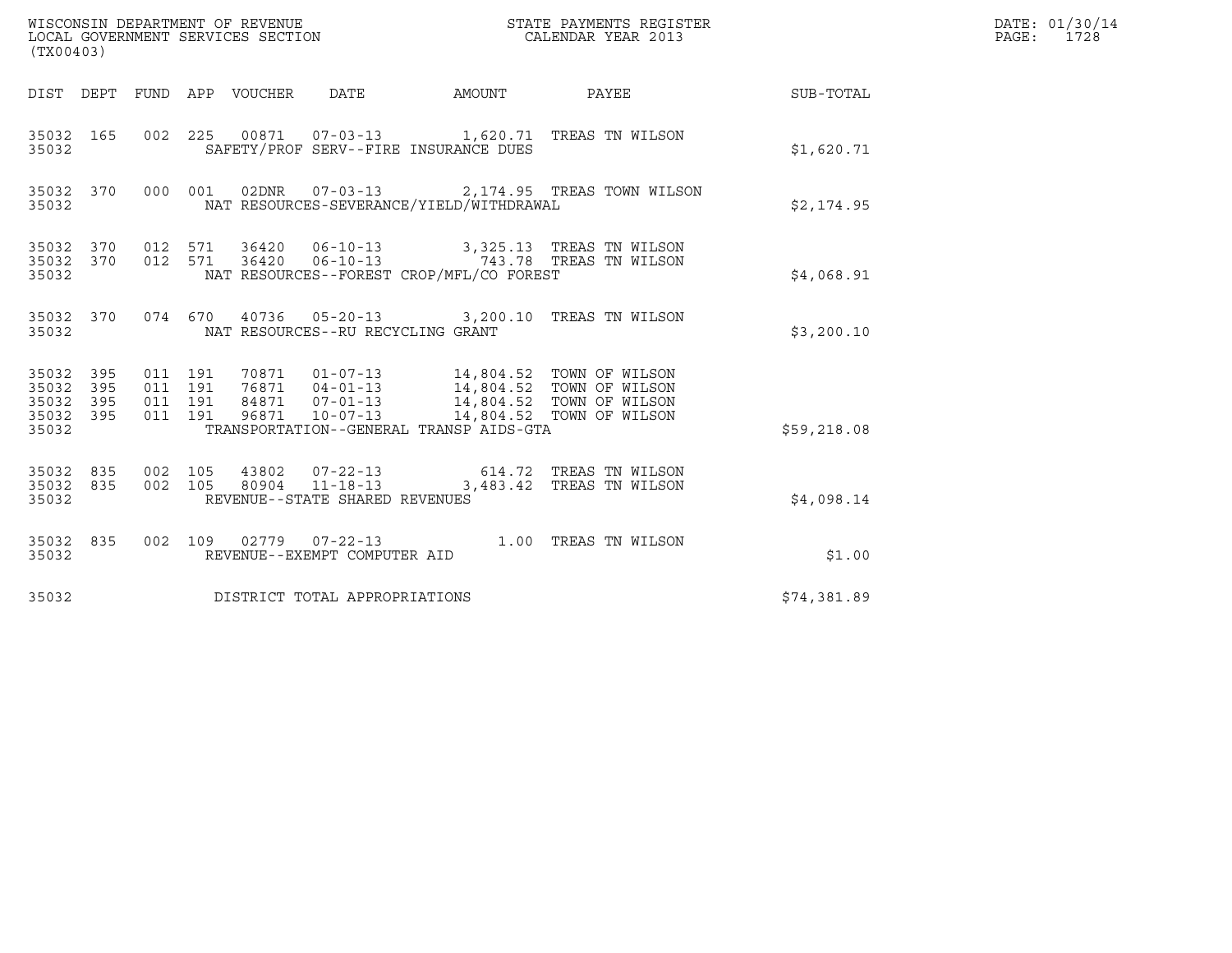| (TX00403)                                             |     |                                          |       | WISCONSIN DEPARTMENT OF REVENUE<br>LOCAL GOVERNMENT SERVICES SECTION |                                          | STATE PAYMENTS REGISTER<br>CALENDAR YEAR 2013                                                                                                                      |             | DATE: 01/30/14<br>PAGE: 1728 |
|-------------------------------------------------------|-----|------------------------------------------|-------|----------------------------------------------------------------------|------------------------------------------|--------------------------------------------------------------------------------------------------------------------------------------------------------------------|-------------|------------------------------|
|                                                       |     |                                          |       |                                                                      |                                          |                                                                                                                                                                    |             |                              |
| 35032 165<br>35032                                    |     |                                          |       |                                                                      | SAFETY/PROF SERV--FIRE INSURANCE DUES    | 002 225 00871 07-03-13 1,620.71 TREAS TN WILSON                                                                                                                    | \$1,620.71  |                              |
| 35032                                                 |     |                                          |       |                                                                      | NAT RESOURCES-SEVERANCE/YIELD/WITHDRAWAL | 35032 370 000 001 02DNR 07-03-13 2,174.95 TREAS TOWN WILSON                                                                                                        | \$2,174.95  |                              |
| 35032                                                 |     |                                          |       |                                                                      | NAT RESOURCES--FOREST CROP/MFL/CO FOREST | 35032 370 012 571 36420 06-10-13 3,325.13 TREAS TN WILSON 35032 370 012 571 36420 06-10-13 743.78 TREAS TN WILSON                                                  | \$4,068.91  |                              |
| 35032                                                 |     |                                          |       | NAT RESOURCES--RU RECYCLING GRANT                                    |                                          | 35032 370 074 670 40736 05-20-13 3,200.10 TREAS TN WILSON                                                                                                          | \$3,200.10  |                              |
| 35032 395<br>35032<br>35032 395<br>35032 395<br>35032 | 395 | 011 191<br>011 191<br>011 191<br>011 191 | 96871 | $10 - 07 - 13$                                                       | TRANSPORTATION--GENERAL TRANSP AIDS-GTA  | 70871  01-07-13  14,804.52  TOWN OF WILSON<br>76871  04-01-13  14,804.52  TOWN OF WILSON<br>84871  07-01-13  14,804.52  TOWN OF WILSON<br>14,804.52 TOWN OF WILSON | \$59,218.08 |                              |
| 35032 835<br>35032                                    |     | 35032 835 002 105<br>002 105             |       | $80904$ $11 - 18 - 13$<br>REVENUE--STATE SHARED REVENUES             |                                          | 43802  07-22-13  614.72  TREAS TN WILSON<br>3,483.42 TREAS TN WILSON                                                                                               | \$4,098.14  |                              |
| 35032 835<br>35032                                    |     |                                          |       | REVENUE--EXEMPT COMPUTER AID                                         |                                          | 002 109 02779 07-22-13 1.00 TREAS TN WILSON                                                                                                                        | \$1.00      |                              |
| 35032                                                 |     |                                          |       | DISTRICT TOTAL APPROPRIATIONS                                        |                                          |                                                                                                                                                                    | \$74,381.89 |                              |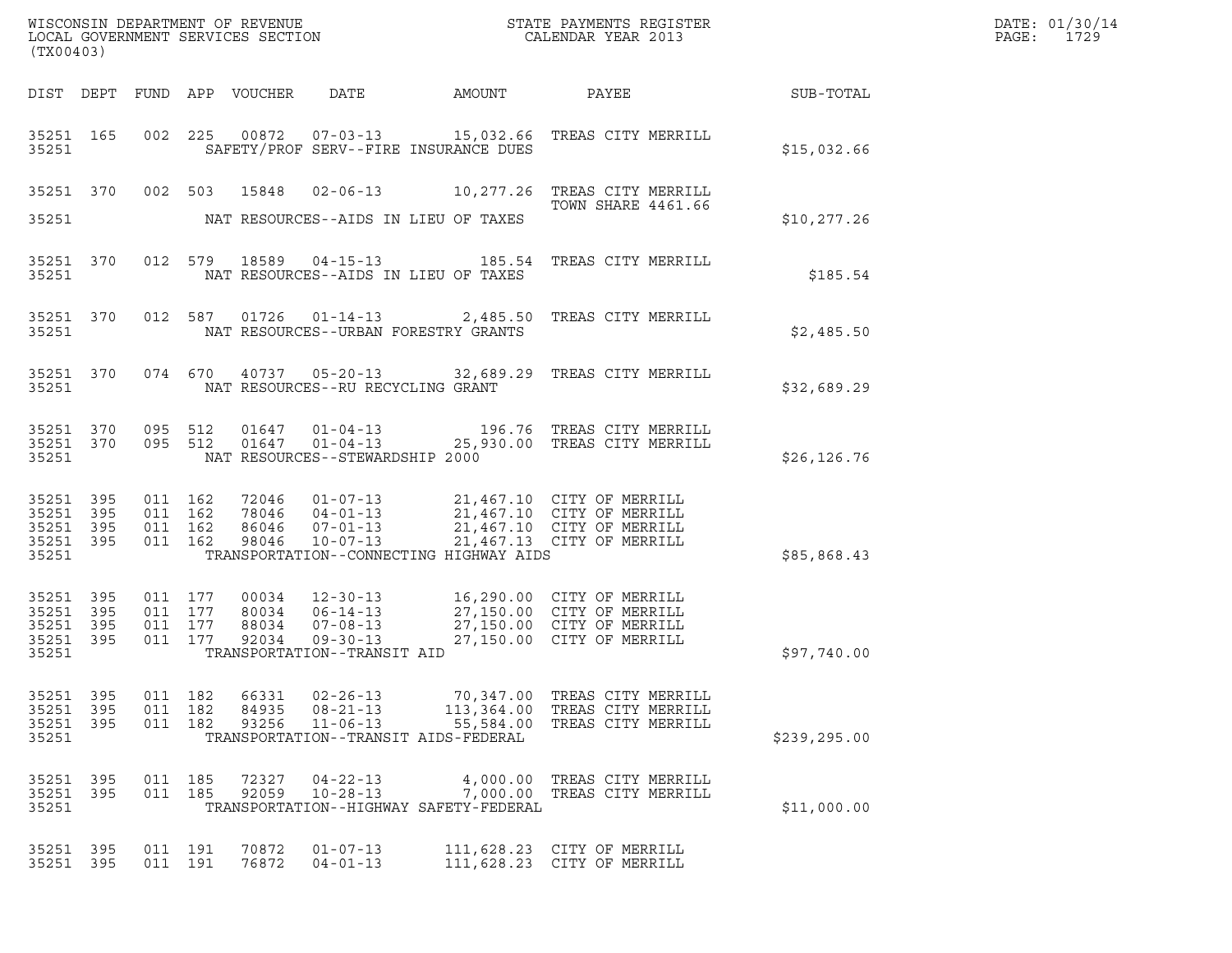| (TX00403)                                                 |           |                                          |     |                         |                                                                                            |                                      | % WISCONSIN DEPARTMENT OF REVENUE $$\tt STATE$ PAYMENTS REGISTER LOCAL GOVERNMENT SERVICES SECTION $$\tt CALEINDAR$ YEAR 2013                                                                                |               | DATE: 01/30/14<br>$\mathtt{PAGE:}$<br>1729 |
|-----------------------------------------------------------|-----------|------------------------------------------|-----|-------------------------|--------------------------------------------------------------------------------------------|--------------------------------------|--------------------------------------------------------------------------------------------------------------------------------------------------------------------------------------------------------------|---------------|--------------------------------------------|
|                                                           |           |                                          |     |                         |                                                                                            |                                      |                                                                                                                                                                                                              |               |                                            |
| 35251                                                     |           |                                          |     |                         | SAFETY/PROF SERV--FIRE INSURANCE DUES                                                      |                                      | 35251 165 002 225 00872 07-03-13 15,032.66 TREAS CITY MERRILL                                                                                                                                                | \$15,032.66   |                                            |
|                                                           |           |                                          |     |                         | 35251 NAT RESOURCES--AIDS IN LIEU OF TAXES                                                 |                                      | 35251 370 002 503 15848 02-06-13 10,277.26 TREAS CITY MERRILL<br><b>TOWN SHARE 4461.66</b>                                                                                                                   | \$10, 277.26  |                                            |
| 35251                                                     |           |                                          |     |                         | NAT RESOURCES--AIDS IN LIEU OF TAXES                                                       |                                      | 35251 370 012 579 18589 04-15-13 185.54 TREAS CITY MERRILL                                                                                                                                                   | \$185.54      |                                            |
|                                                           |           | 35251 200                                |     |                         | NAT RESOURCES--URBAN FORESTRY GRANTS                                                       |                                      | 35251 370 012 587 01726 01-14-13 2,485.50 TREAS CITY MERRILL                                                                                                                                                 | \$2,485.50    |                                            |
|                                                           |           |                                          |     |                         | 35251 NAT RESOURCES--RU RECYCLING GRANT                                                    |                                      | 35251 370 074 670 40737 05-20-13 32,689.29 TREAS CITY MERRILL                                                                                                                                                | \$32,689.29   |                                            |
| 35251                                                     |           |                                          |     |                         | NAT RESOURCES--STEWARDSHIP 2000                                                            |                                      | 35251 370 095 512 01647 01-04-13 196.76 TREAS CITY MERRILL 35251 370 095 512 01647 01-04-13 25,930.00 TREAS CITY MERRILL                                                                                     | \$26, 126.76  |                                            |
| 35251 395<br>35251 395<br>35251 395<br>35251              | 35251 395 |                                          |     |                         | TRANSPORTATION--CONNECTING HIGHWAY AIDS                                                    |                                      | 011 162 72046 01-07-13 21,467.10 CITY OF MERRILL<br>011 162 78046 04-01-13 21,467.10 CITY OF MERRILL<br>011 162 98046 07-01-13 21,467.10 CITY OF MERRILL<br>011 162 98046 10-07-13 21,467.13 CITY OF MERRILL | \$85,868.43   |                                            |
| 35251 395<br>35251 395<br>35251 395<br>35251 395<br>35251 |           | 011 177<br>011 177<br>011 177<br>011 177 |     |                         | TRANSPORTATION--TRANSIT AID                                                                |                                      | 00034   12-30-13   16,290.00   CITY OF MERRILL<br>80034   06-14-13   27,150.00   CITY OF MERRILL<br>88034   07-08-13   27,150.00   CITY OF MERRILL<br>92034   09-30-13   27,150.00   CITY OF MERRILL         | \$97,740.00   |                                            |
| 35251 395<br>35251<br>35251 395<br>35251                  | 395       | 011 182<br>011<br>011 182                | 182 | 66331<br>84935<br>93256 | $02 - 26 - 13$<br>$08 - 21 - 13$<br>$11 - 06 - 13$<br>TRANSPORTATION--TRANSIT AIDS-FEDERAL | 70,347.00<br>113,364.00<br>55,584.00 | TREAS CITY MERRILL<br>TREAS CITY MERRILL<br>TREAS CITY MERRILL                                                                                                                                               | \$239, 295.00 |                                            |
| 35251 395<br>35251 395<br>35251                           |           | 011 185<br>011 185                       |     | 72327<br>92059          | $04 - 22 - 13$<br>$10 - 28 - 13$<br>TRANSPORTATION--HIGHWAY SAFETY-FEDERAL                 |                                      | 4,000.00 TREAS CITY MERRILL<br>7,000.00 TREAS CITY MERRILL                                                                                                                                                   | \$11,000.00   |                                            |
| 35251<br>35251 395                                        | 395       | 011 191<br>011 191                       |     | 70872<br>76872          | $01 - 07 - 13$<br>$04 - 01 - 13$                                                           |                                      | 111,628.23 CITY OF MERRILL<br>111,628.23 CITY OF MERRILL                                                                                                                                                     |               |                                            |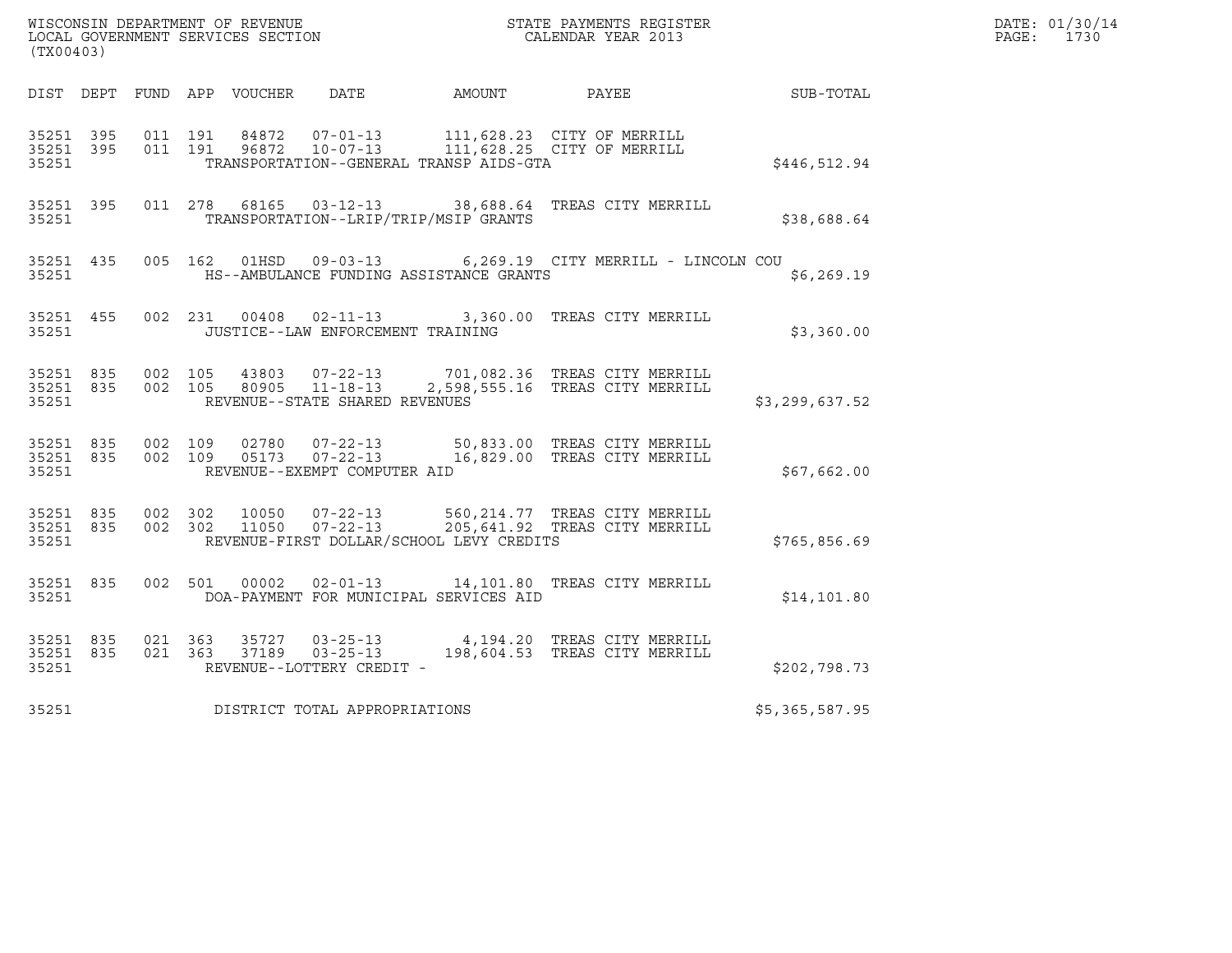| (TX00403)          |                                |                    |                                                                       |                                              | WISCONSIN DEPARTMENT OF REVENUE<br>LOCAL GOVERNMENT SERVICES SECTION CALENDAR YEAR 2013                                            |                | DATE: 01/30/14<br>PAGE: 1730 |
|--------------------|--------------------------------|--------------------|-----------------------------------------------------------------------|----------------------------------------------|------------------------------------------------------------------------------------------------------------------------------------|----------------|------------------------------|
|                    |                                |                    |                                                                       |                                              | DIST DEPT FUND APP VOUCHER DATE AMOUNT PAYEE TO SUB-TOTAL                                                                          |                |                              |
| 35251 395<br>35251 | 35251 395                      | 011 191<br>011 191 |                                                                       | TRANSPORTATION--GENERAL TRANSP AIDS-GTA      | 84872  07-01-13    111,628.23    CITY OF MERRILL<br>96872 10-07-13 111,628.25 CITY OF MERRILL                                      | \$446,512.94   |                              |
| 35251              |                                |                    |                                                                       | TRANSPORTATION--LRIP/TRIP/MSIP GRANTS        | 35251 395 011 278 68165 03-12-13 38,688.64 TREAS CITY MERRILL                                                                      | \$38,688.64    |                              |
| 35251              |                                |                    |                                                                       | HS--AMBULANCE FUNDING ASSISTANCE GRANTS      | 35251 435 005 162 01HSD 09-03-13 6,269.19 CITY MERRILL - LINCOLN COU                                                               | \$6, 269.19    |                              |
|                    | 35251 200                      |                    | JUSTICE--LAW ENFORCEMENT TRAINING                                     |                                              | 35251 455 002 231 00408 02-11-13 3,360.00 TREAS CITY MERRILL                                                                       | \$3,360.00     |                              |
| 35251              |                                |                    | REVENUE--STATE SHARED REVENUES                                        |                                              | 35251 835 002 105 43803 07-22-13 701,082.36 TREAS CITY MERRILL<br>35251 835 002 105 80905 11-18-13 2,598,555.16 TREAS CITY MERRILL | \$3,299,637.52 |                              |
| 35251              |                                |                    | REVENUE--EXEMPT COMPUTER AID                                          |                                              | 35251 835 002 109 02780 07-22-13 50,833.00 TREAS CITY MERRILL<br>35251 835 002 109 05173 07-22-13 16,829.00 TREAS CITY MERRILL     | \$67,662.00    |                              |
| 35251              | 35251 835 002 302<br>35251 835 |                    |                                                                       | REVENUE-FIRST DOLLAR/SCHOOL LEVY CREDITS     | 002 302 10050 07-22-13 560,214.77 TREAS CITY MERRILL<br>002 302 11050 07-22-13 205,641.92 TREAS CITY MERRILL                       | \$765,856.69   |                              |
|                    | 35251 835                      |                    |                                                                       | 35251 DOA-PAYMENT FOR MUNICIPAL SERVICES AID | 002 501 00002 02-01-13 14,101.80 TREAS CITY MERRILL                                                                                | \$14,101.80    |                              |
| 35251              | 35251 835<br>35251 835         | 021 363            | 35727 03-25-13<br>021 363 37189 03-25-13<br>REVENUE--LOTTERY CREDIT - |                                              | 4,194.20 TREAS CITY MERRILL<br>198,604.53 TREAS CITY MERRILL                                                                       | \$202,798.73   |                              |
| 35251              |                                |                    | DISTRICT TOTAL APPROPRIATIONS                                         |                                              |                                                                                                                                    | \$5,365,587.95 |                              |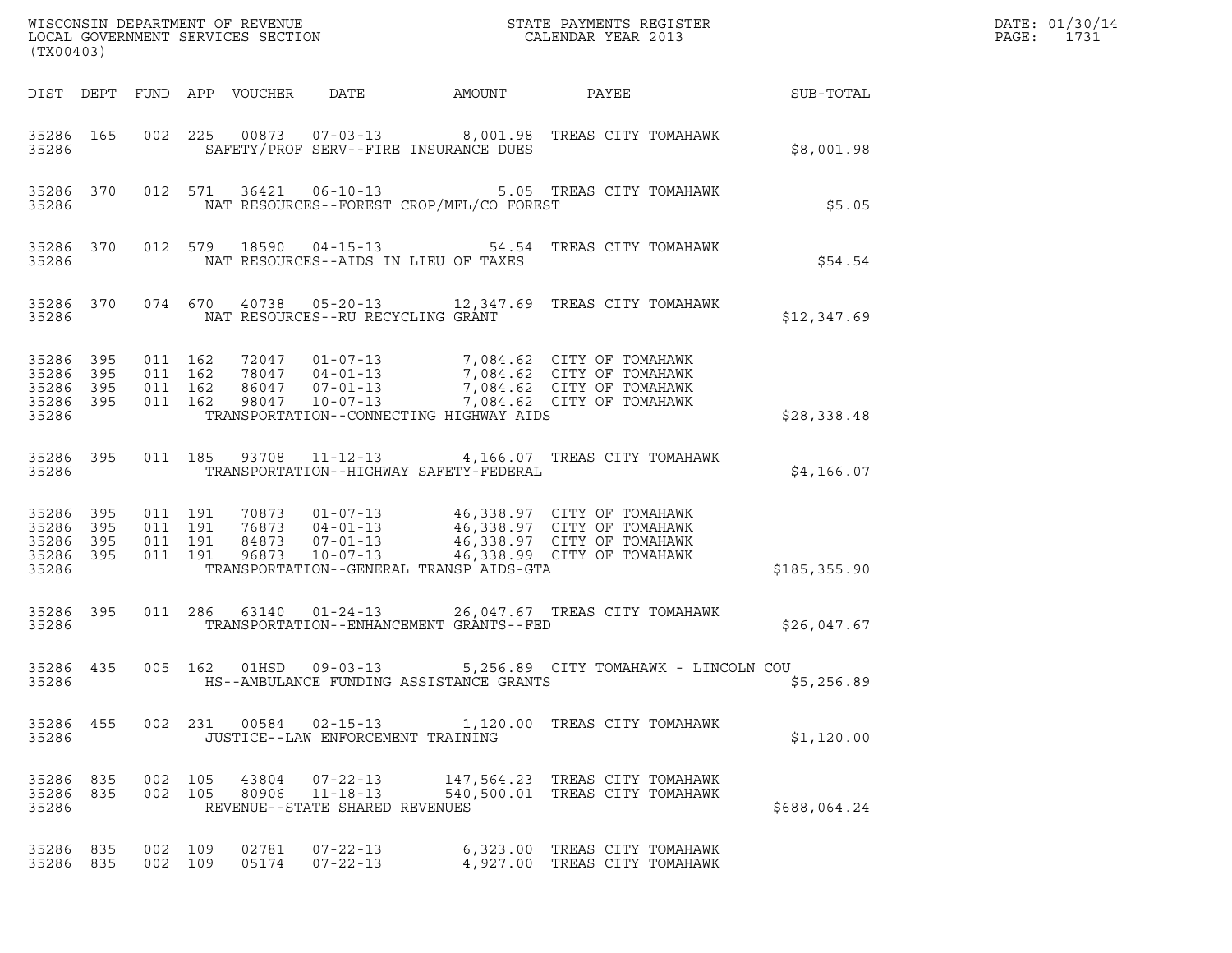| (TX00403)                                         |                   |                                          |         |                            |                                   |                                          |                                                                                                                                                                        |               | DATE: 01/30/14<br>$\mathtt{PAGE}$ :<br>1731 |
|---------------------------------------------------|-------------------|------------------------------------------|---------|----------------------------|-----------------------------------|------------------------------------------|------------------------------------------------------------------------------------------------------------------------------------------------------------------------|---------------|---------------------------------------------|
|                                                   |                   |                                          |         | DIST DEPT FUND APP VOUCHER | DATE                              | AMOUNT                                   | PAYEE                                                                                                                                                                  | SUB-TOTAL     |                                             |
| 35286                                             | 35286 165         |                                          |         |                            |                                   | SAFETY/PROF SERV--FIRE INSURANCE DUES    | 002 225 00873 07-03-13 8,001.98 TREAS CITY TOMAHAWK                                                                                                                    | \$8,001.98    |                                             |
| 35286                                             | 35286 370         |                                          |         | 012 571 36421              |                                   | NAT RESOURCES--FOREST CROP/MFL/CO FOREST | 06-10-13 5.05 TREAS CITY TOMAHAWK                                                                                                                                      | \$5.05        |                                             |
| 35286                                             | 35286 370         |                                          |         | 012 579 18590              |                                   | NAT RESOURCES--AIDS IN LIEU OF TAXES     | 04-15-13 54.54 TREAS CITY TOMAHAWK                                                                                                                                     | \$54.54       |                                             |
| 35286                                             | 35286 370         |                                          |         |                            | NAT RESOURCES--RU RECYCLING GRANT |                                          | 074 670 40738 05-20-13 12,347.69 TREAS CITY TOMAHAWK                                                                                                                   | \$12,347.69   |                                             |
| 35286<br>35286<br>35286<br>35286 395<br>35286     | 395<br>395<br>395 | 011 162<br>011 162<br>011 162<br>011 162 |         | 98047                      | 10-07-13                          | TRANSPORTATION--CONNECTING HIGHWAY AIDS  | 72047  01-07-13  7,084.62  CITY OF TOMAHAWK<br>78047  04-01-13  7,084.62  CITY OF TOMAHAWK<br>86047  07-01-13  7,084.62  CITY OF TOMAHAWK<br>7,084.62 CITY OF TOMAHAWK | \$28,338.48   |                                             |
| 35286 395<br>35286                                |                   | 011 185                                  |         |                            |                                   | TRANSPORTATION--HIGHWAY SAFETY-FEDERAL   | 93708  11-12-13  4,166.07  TREAS CITY TOMAHAWK                                                                                                                         | \$4,166.07    |                                             |
| 35286<br>35286 395<br>35286<br>35286 395<br>35286 | 395<br>395        | 011 191<br>011 191<br>011 191            | 011 191 | 84873<br>96873             | $10 - 07 - 13$                    | TRANSPORTATION--GENERAL TRANSP AIDS-GTA  | 70873  01-07-13  46,338.97  CITY OF TOMAHAWK<br>76873  04-01-13  46,338.97  CITY OF TOMAHAWK<br>07-01-13 46,338.97 CITY OF TOMAHAWK<br>46,338.99 CITY OF TOMAHAWK      | \$185, 355.90 |                                             |
| 35286 395<br>35286                                |                   |                                          |         | 011 286 63140              |                                   | TRANSPORTATION--ENHANCEMENT GRANTS--FED  | 01-24-13 26,047.67 TREAS CITY TOMAHAWK                                                                                                                                 | \$26,047.67   |                                             |
| 35286 435<br>35286                                |                   | 005 162                                  |         | 01HSD                      | $09 - 03 - 13$                    | HS--AMBULANCE FUNDING ASSISTANCE GRANTS  | 5,256.89 CITY TOMAHAWK - LINCOLN COU                                                                                                                                   | \$5,256.89    |                                             |
| 35286                                             |                   |                                          |         |                            | JUSTICE--LAW ENFORCEMENT TRAINING |                                          | 35286 455 002 231 00584 02-15-13 1,120.00 TREAS CITY TOMAHAWK                                                                                                          | \$1,120.00    |                                             |
| 35286 835<br>35286                                | 35286 835         | 002 105<br>002 105                       |         |                            | REVENUE--STATE SHARED REVENUES    |                                          | 43804  07-22-13   147,564.23   TREAS CITY TOMAHAWK<br>80906  11-18-13  540,500.01  TREAS CITY TOMAHAWK                                                                 | \$688,064.24  |                                             |
| 35286 835<br>35286 835                            |                   | 002 109<br>002 109                       |         | 02781                      | 07-22-13<br>05174 07-22-13        |                                          | 6,323.00 TREAS CITY TOMAHAWK<br>4,927.00 TREAS CITY TOMAHAWK                                                                                                           |               |                                             |